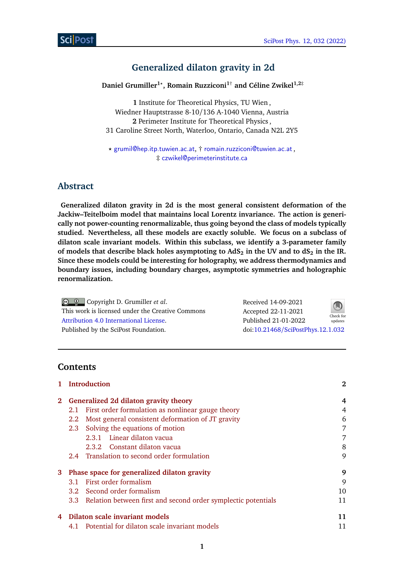# **Generalized dilaton gravity in 2d**

**Daniel Grumiller1***?* **, Romain Ruzziconi1**† **and Céline Zwikel1,2**‡

**1** Institute for Theoretical Physics, TU Wien , Wiedner Hauptstrasse 8-10/136 A-1040 Vienna, Austria **2** Perimeter Institute for Theoretical Physics , 31 Caroline Street North, Waterloo, Ontario, Canada N2L 2Y5

*?* [grumil@hep.itp.tuwien.ac.at](mailto:grumil@hep.itp.tuwien.ac.at), † [romain.ruzziconi@tuwien.ac.at](mailto:romain.ruzziconi@tuwien.ac.at) , ‡ [czwikel@perimeterinstitute.ca](mailto:czwikel@perimeterinstitute.ca)

# **Abstract**

**Generalized dilaton gravity in 2d is the most general consistent deformation of the Jackiw–Teitelboim model that maintains local Lorentz invariance. The action is generically not power-counting renormalizable, thus going beyond the class of models typically studied. Nevertheless, all these models are exactly soluble. We focus on a subclass of dilaton scale invariant models. Within this subclass, we identify a 3-parameter family of models that describe black holes asymptoting to AdS<sup>2</sup> in the UV and to dS<sup>2</sup> in the IR. Since these models could be interesting for holography, we address thermodynamics and boundary issues, including boundary charges, asymptotic symmetries and holographic renormalization.**

| $\bigcirc$ $\bigcirc$ Copyright D. Grumiller <i>et al.</i> | Received 14-09-2021               | $\bigcirc$           |
|------------------------------------------------------------|-----------------------------------|----------------------|
| This work is licensed under the Creative Commons           | Accepted 22-11-2021               |                      |
| Attribution 4.0 International License.                     | Published 21-01-2022              | Check for<br>updates |
| Published by the SciPost Foundation.                       | doi:10.21468/SciPostPhys.12.1.032 |                      |

# **Contents**

|             |     | <b>Introduction</b>                                               | 2  |
|-------------|-----|-------------------------------------------------------------------|----|
| $2^{\circ}$ |     | Generalized 2d dilaton gravity theory                             | 4  |
|             |     | 2.1 First order formulation as nonlinear gauge theory             | 4  |
|             | 2.2 | Most general consistent deformation of JT gravity                 | 6  |
|             |     | 2.3 Solving the equations of motion                               | 7  |
|             |     | 2.3.1 Linear dilaton vacua                                        | 7  |
|             |     | 2.3.2 Constant dilaton vacua                                      | 8  |
|             |     | 2.4 Translation to second order formulation                       | 9  |
| 3           |     | Phase space for generalized dilaton gravity                       | 9  |
|             | 3.1 | First order formalism                                             | 9  |
|             |     | 3.2 Second order formalism                                        | 10 |
|             |     | 3.3 Relation between first and second order symplectic potentials | 11 |
| 4           |     | Dilaton scale invariant models                                    | 11 |
|             |     | 4.1 Potential for dilaton scale invariant models                  |    |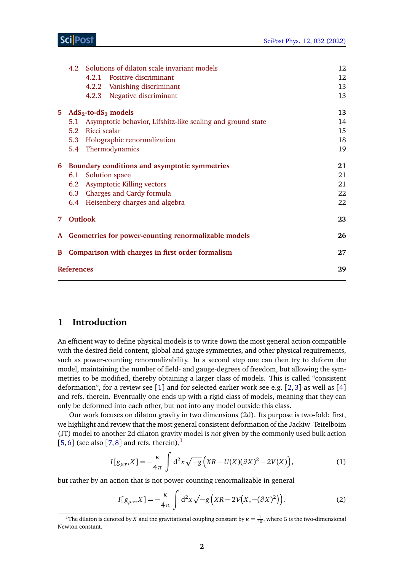## Sci Post

|    |                   | 4.2 Solutions of dilaton scale invariant models                 | 12 |
|----|-------------------|-----------------------------------------------------------------|----|
|    |                   | 4.2.1 Positive discriminant                                     | 12 |
|    |                   | 4.2.2 Vanishing discriminant                                    | 13 |
|    |                   | 4.2.3 Negative discriminant                                     | 13 |
| 5. |                   | $AdS2$ -to-dS <sub>2</sub> models                               | 13 |
|    |                   | 5.1 Asymptotic behavior, Lifshitz-like scaling and ground state | 14 |
|    |                   | 5.2 Ricci scalar                                                | 15 |
|    |                   | 5.3 Holographic renormalization                                 | 18 |
|    |                   | 5.4 Thermodynamics                                              | 19 |
|    |                   | 6 Boundary conditions and asymptotic symmetries                 | 21 |
|    | 6.1               | Solution space                                                  | 21 |
|    |                   | 6.2 Asymptotic Killing vectors                                  | 21 |
|    |                   | 6.3 Charges and Cardy formula                                   | 22 |
|    |                   | 6.4 Heisenberg charges and algebra                              | 22 |
|    | 7 Outlook         |                                                                 | 23 |
|    |                   | A Geometries for power-counting renormalizable models           | 26 |
|    |                   | <b>B</b> Comparison with charges in first order formalism       | 27 |
|    | <b>References</b> |                                                                 |    |
|    |                   |                                                                 |    |

## <span id="page-1-0"></span>**1 Introduction**

An efficient way to define physical models is to write down the most general action compatible with the desired field content, global and gauge symmetries, and other physical requirements, such as power-counting renormalizability. In a second step one can then try to deform the model, maintaining the number of field- and gauge-degrees of freedom, but allowing the symmetries to be modified, thereby obtaining a larger class of models. This is called "consistent deformation", for a review see  $[1]$  $[1]$  $[1]$  and for selected earlier work see e.g.  $[2, 3]$  $[2, 3]$  $[2, 3]$  $[2, 3]$  $[2, 3]$  as well as  $[4]$  $[4]$  $[4]$ and refs. therein. Eventually one ends up with a rigid class of models, meaning that they can only be deformed into each other, but not into any model outside this class.

Our work focuses on dilaton gravity in two dimensions (2d). Its purpose is two-fold: first, we highlight and review that the most general consistent deformation of the Jackiw–Teitelboim (JT) model to another 2d dilaton gravity model is *not* given by the commonly used bulk action [[5,](#page-28-4)[6](#page-28-5)] (see also [[7,](#page-28-6)[8](#page-28-7)] and refs. therein),<sup>[1](#page-1-1)</sup>

<span id="page-1-3"></span>
$$
I[g_{\mu\nu},X] = -\frac{\kappa}{4\pi} \int d^2x \sqrt{-g} \left( XR - U(X)(\partial X)^2 - 2V(X)\right),\tag{1}
$$

but rather by an action that is not power-counting renormalizable in general

<span id="page-1-2"></span>
$$
I[g_{\mu\nu}, X] = -\frac{\kappa}{4\pi} \int d^2x \sqrt{-g} \left( XR - 2V(X, -(\partial X)^2) \right). \tag{2}
$$

<span id="page-1-1"></span><sup>&</sup>lt;sup>1</sup>The dilaton is denoted by *X* and the gravitational coupling constant by  $\kappa = \frac{1}{4G}$ , where *G* is the two-dimensional Newton constant.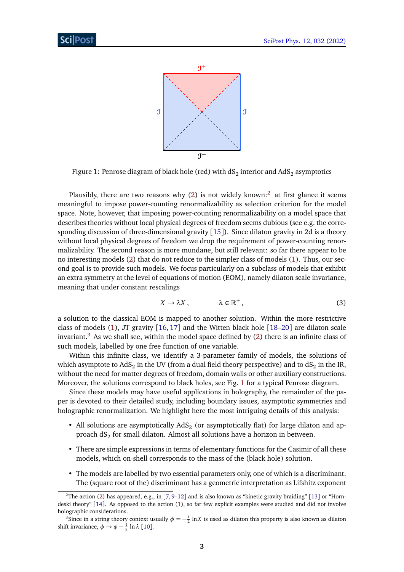<span id="page-2-2"></span>

Figure 1: Penrose diagram of black hole (red) with dS $_2$  interior and AdS $_2$  asymptotics

Plausibly, there are two reasons why [\(2\)](#page-1-2) is not widely known:<sup>[2](#page-2-0)</sup> at first glance it seems meaningful to impose power-counting renormalizability as selection criterion for the model space. Note, however, that imposing power-counting renormalizability on a model space that describes theories without local physical degrees of freedom seems dubious (see e.g. the corresponding discussion of three-dimensional gravity [[15](#page-28-8)]). Since dilaton gravity in 2d is a theory without local physical degrees of freedom we drop the requirement of power-counting renormalizability. The second reason is more mundane, but still relevant: so far there appear to be no interesting models [\(2\)](#page-1-2) that do not reduce to the simpler class of models [\(1\)](#page-1-3). Thus, our second goal is to provide such models. We focus particularly on a subclass of models that exhibit an extra symmetry at the level of equations of motion (EOM), namely dilaton scale invariance, meaning that under constant rescalings

$$
X \to \lambda X, \qquad \lambda \in \mathbb{R}^+, \tag{3}
$$

a solution to the classical EOM is mapped to another solution. Within the more restrictive class of models [\(1\)](#page-1-3), JT gravity  $[16, 17]$  $[16, 17]$  $[16, 17]$  $[16, 17]$  $[16, 17]$  and the Witten black hole  $[18–20]$  $[18–20]$  $[18–20]$  $[18–20]$  are dilaton scale invariant.<sup>[3](#page-2-1)</sup> As we shall see, within the model space defined by  $(2)$  there is an infinite class of such models, labelled by one free function of one variable.

Within this infinite class, we identify a 3-parameter family of models, the solutions of which asymptote to AdS $_2$  in the UV (from a dual field theory perspective) and to dS $_2$  in the IR, without the need for matter degrees of freedom, domain walls or other auxiliary constructions. Moreover, the solutions correspond to black holes, see Fig. [1](#page-2-2) for a typical Penrose diagram.

Since these models may have useful applications in holography, the remainder of the paper is devoted to their detailed study, including boundary issues, asymptotic symmetries and holographic renormalization. We highlight here the most intriguing details of this analysis:

- All solutions are asymptotically  $AdS_2$  (or asymptotically flat) for large dilaton and approach d $\mathrm{S}_2$  for small dilaton. Almost all solutions have a horizon in between.
- There are simple expressions in terms of elementary functions for the Casimir of all these models, which on-shell corresponds to the mass of the (black hole) solution.
- The models are labelled by two essential parameters only, one of which is a discriminant. The (square root of the) discriminant has a geometric interpretation as Lifshitz exponent

<span id="page-2-0"></span><sup>&</sup>lt;sup>2</sup>The action [\(2\)](#page-1-2) has appeared, e.g., in [[7,](#page-28-6) [9](#page-28-12)[–12](#page-28-13)] and is also known as "kinetic gravity braiding" [[13](#page-28-14)] or "Horndeski theory" [[14](#page-28-15)]. As opposed to the action [\(1\)](#page-1-3), so far few explicit examples were studied and did not involve holographic considerations.

<span id="page-2-1"></span><sup>&</sup>lt;sup>3</sup>Since in a string theory context usually  $\phi = -\frac{1}{2} \ln X$  is used as dilaton this property is also known as dilaton shift invariance,  $\phi \to \phi - \frac{1}{2} \ln \lambda$  [[10](#page-28-16)].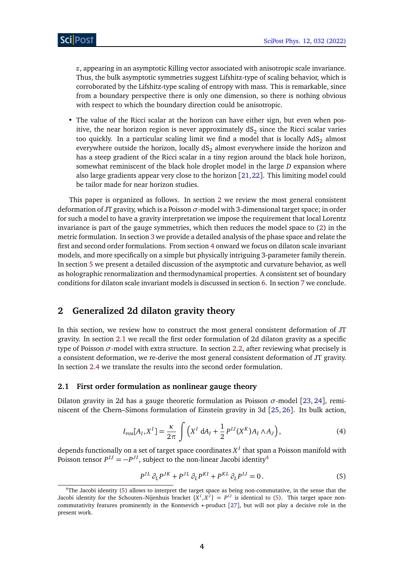*z*, appearing in an asymptotic Killing vector associated with anisotropic scale invariance. Thus, the bulk asymptotic symmetries suggest Lifshitz-type of scaling behavior, which is corroborated by the Lifshitz-type scaling of entropy with mass. This is remarkable, since from a boundary perspective there is only one dimension, so there is nothing obvious with respect to which the boundary direction could be anisotropic.

• The value of the Ricci scalar at the horizon can have either sign, but even when positive, the near horizon region is never approximately  $\text{dS}_2$  since the Ricci scalar varies too quickly. In a particular scaling limit we find a model that is locally  $AdS<sub>2</sub>$  almost everywhere outside the horizon, locally  $dS<sub>2</sub>$  almost everywhere inside the horizon and has a steep gradient of the Ricci scalar in a tiny region around the black hole horizon, somewhat reminiscent of the black hole droplet model in the large *D* expansion where also large gradients appear very close to the horizon [[21,](#page-29-1)[22](#page-29-2)]. This limiting model could be tailor made for near horizon studies.

This paper is organized as follows. In section [2](#page-3-0) we review the most general consistent deformation of JT gravity, which is a Poisson  $\sigma$ -model with 3-dimensional target space; in order for such a model to have a gravity interpretation we impose the requirement that local Lorentz invariance is part of the gauge symmetries, which then reduces the model space to [\(2\)](#page-1-2) in the metric formulation. In section [3](#page-8-1) we provide a detailed analysis of the phase space and relate the first and second order formulations. From section [4](#page-10-1) onward we focus on dilaton scale invariant models, and more specifically on a simple but physically intriguing 3-parameter family therein. In section [5](#page-12-2) we present a detailed discussion of the asymptotic and curvature behavior, as well as holographic renormalization and thermodynamical properties. A consistent set of boundary conditions for dilaton scale invariant models is discussed in section [6.](#page-20-0) In section [7](#page-22-0) we conclude.

## <span id="page-3-0"></span>**2 Generalized 2d dilaton gravity theory**

In this section, we review how to construct the most general consistent deformation of JT gravity. In section [2.1](#page-3-1) we recall the first order formulation of 2d dilaton gravity as a specific type of Poisson *σ*-model with extra structure. In section [2.2,](#page-5-0) after reviewing what precisely is a consistent deformation, we re-derive the most general consistent deformation of JT gravity. In section [2.4](#page-8-0) we translate the results into the second order formulation.

#### <span id="page-3-1"></span>**2.1 First order formulation as nonlinear gauge theory**

<span id="page-3-4"></span>Dilaton gravity in 2d has a gauge theoretic formulation as Poisson  $\sigma$ -model [[23,](#page-29-3) [24](#page-29-4)], reminiscent of the Chern–Simons formulation of Einstein gravity in 3d [[25,](#page-29-5) [26](#page-29-6)]. Its bulk action,

$$
I_{PSM}[A_I, X^I] = \frac{\kappa}{2\pi} \int \left( X^I \, dA_I + \frac{1}{2} P^{IJ}(X^K) A_I \wedge A_J \right), \tag{4}
$$

depends functionally on a set of target space coordinates  $X^I$  that span a Poisson manifold with Poisson tensor  $P^{IJ} = -P^{JI}$ , subject to the non-linear Jacobi identity<sup>[4](#page-3-2)</sup>

<span id="page-3-3"></span>
$$
P^{IL}\partial_L P^{JK} + P^{JL}\partial_L P^{KI} + P^{KL}\partial_L P^{IJ} = 0.
$$
\n<sup>(5)</sup>

<span id="page-3-2"></span><sup>4</sup>The Jacobi identity [\(5\)](#page-3-3) allows to interpret the target space as being non-commutative, in the sense that the Jacobi identity for the Schouten–Nijenhuis bracket  $\{X^I, X^J\} = P^{IJ}$  is identical to [\(5\)](#page-3-3). This target space non-commutativity features prominently in the Kontsevich \*-product [[27](#page-29-7)], but will not play a decisive role in the present work.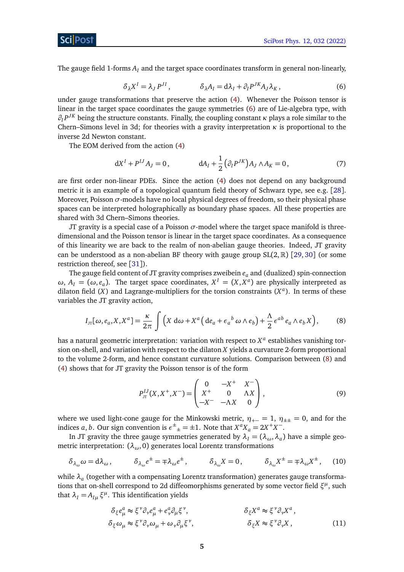<span id="page-4-0"></span>The gauge field 1-forms  $A_I$  and the target space coordinates transform in general non-linearly,

$$
\delta_{\lambda} X^{I} = \lambda_{J} P^{JI}, \qquad \qquad \delta_{\lambda} A_{I} = d\lambda_{I} + \partial_{I} P^{JK} A_{J} \lambda_{K}, \qquad (6)
$$

under gauge transformations that preserve the action [\(4\)](#page-3-4). Whenever the Poisson tensor is linear in the target space coordinates the gauge symmetries [\(6\)](#page-4-0) are of Lie-algebra type, with *∂<sup>I</sup> P JK* being the structure constants. Finally, the coupling constant *κ* plays a role similar to the Chern–Simons level in 3d; for theories with a gravity interpretation *κ* is proportional to the inverse 2d Newton constant.

The EOM derived from the action [\(4\)](#page-3-4)

$$
dX^{I} + P^{IJ}A_{J} = 0, \t dA_{I} + \frac{1}{2} (\partial_{I} P^{JK}) A_{J} \wedge A_{K} = 0, \t (7)
$$

are first order non-linear PDEs. Since the action [\(4\)](#page-3-4) does not depend on any background metric it is an example of a topological quantum field theory of Schwarz type, see e.g. [[28](#page-29-8)]. Moreover, Poisson  $\sigma$ -models have no local physical degrees of freedom, so their physical phase spaces can be interpreted holographically as boundary phase spaces. All these properties are shared with 3d Chern–Simons theories.

JT gravity is a special case of a Poisson *σ*-model where the target space manifold is threedimensional and the Poisson tensor is linear in the target space coordinates. As a consequence of this linearity we are back to the realm of non-abelian gauge theories. Indeed, JT gravity can be understood as a non-abelian BF theory with gauge group  $SL(2,\mathbb{R})$  [[29,](#page-29-9) [30](#page-29-10)] (or some restriction thereof, see [[31](#page-29-11)]).

The gauge field content of JT gravity comprises zweibein *e<sup>a</sup>* and (dualized) spin-connection *ω*,  $A$ <sup>*I*</sup> = (*ω*, *e*<sub>*a*</sub>). The target space coordinates,  $X$ <sup>*I*</sup> = (*X*, *X*<sup>*a*</sup>) are physically interpreted as dilaton field (*X*) and Lagrange-multipliers for the torsion constraints (*X a* ). In terms of these variables the JT gravity action,

<span id="page-4-1"></span>
$$
I_{\rm JT}[\omega, e_a, X, X^a] = \frac{\kappa}{2\pi} \int \left( X \, \mathrm{d}\omega + X^a \left( \mathrm{d}e_a + e_a{}^b \, \omega \wedge e_b \right) + \frac{\Lambda}{2} \, e^{ab} \, e_a \wedge e_b X \right),\tag{8}
$$

has a natural geometric interpretation: variation with respect to *X a* establishes vanishing torsion on-shell, and variation with respect to the dilaton *X* yields a curvature 2-form proportional to the volume 2-form, and hence constant curvature solutions. Comparison between [\(8\)](#page-4-1) and [\(4\)](#page-3-4) shows that for JT gravity the Poisson tensor is of the form

<span id="page-4-2"></span>
$$
P_{\text{tr}}^{IJ}(X, X^+, X^-) = \begin{pmatrix} 0 & -X^+ & X^- \\ X^+ & 0 & \Lambda X \\ -X^- & -\Lambda X & 0 \end{pmatrix},
$$
 (9)

where we used light-cone gauge for the Minkowski metric,  $\eta_{+-} = 1$ ,  $\eta_{\pm\pm} = 0$ , and for the indices *a*, *b*. Our sign convention is  $e^{\pm}{}_{\pm} = \pm 1$ . Note that  $X^a X_a = 2X^+ X^-$ .

In JT gravity the three gauge symmetries generated by  $\lambda_I = (\lambda_\omega, \lambda_a)$  have a simple geometric interpretation: (*λω*, 0) generates local Lorentz transformations

$$
\delta_{\lambda_{\omega}}\omega = d\lambda_{\omega}, \qquad \delta_{\lambda_{\omega}}e^{\pm} = \mp \lambda_{\omega}e^{\pm}, \qquad \delta_{\lambda_{\omega}}X = 0, \qquad \delta_{\lambda_{\omega}}X^{\pm} = \mp \lambda_{\omega}X^{\pm}, \qquad (10)
$$

while *λ<sup>a</sup>* (together with a compensating Lorentz transformation) generates gauge transformations that on-shell correspond to 2d diffeomorphisms generated by some vector field  $ξ<sup>μ</sup>$ , such that  $\lambda_I = A_{I\mu} \xi^{\mu}$ . This identification yields

<span id="page-4-3"></span>
$$
\delta_{\xi} e_{\mu}^{a} \approx \xi^{\nu} \partial_{\nu} e_{\mu}^{a} + e_{\nu}^{a} \partial_{\mu} \xi^{\nu}, \qquad \delta_{\xi} X^{a} \approx \xi^{\nu} \partial_{\nu} X^{a},
$$
\n
$$
\delta_{\xi} \omega_{\mu} \approx \xi^{\nu} \partial_{\nu} \omega_{\mu} + \omega_{\nu} \partial_{\mu} \xi^{\nu}, \qquad \delta_{\xi} X \approx \xi^{\nu} \partial_{\nu} X, \qquad (11)
$$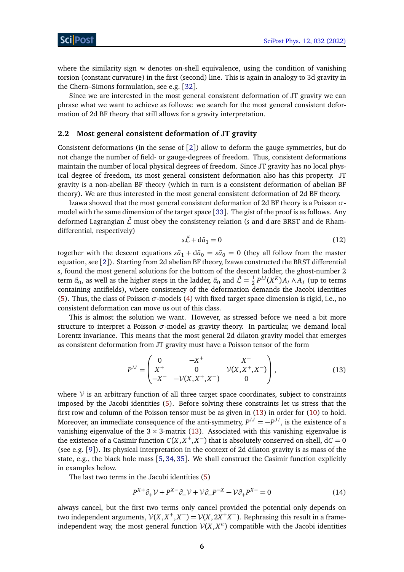where the similarity sign  $\approx$  denotes on-shell equivalence, using the condition of vanishing torsion (constant curvature) in the first (second) line. This is again in analogy to 3d gravity in the Chern–Simons formulation, see e.g. [[32](#page-29-12)].

Since we are interested in the most general consistent deformation of JT gravity we can phrase what we want to achieve as follows: we search for the most general consistent deformation of 2d BF theory that still allows for a gravity interpretation.

#### <span id="page-5-0"></span>**2.2 Most general consistent deformation of JT gravity**

Consistent deformations (in the sense of [[2](#page-28-1)]) allow to deform the gauge symmetries, but do not change the number of field- or gauge-degrees of freedom. Thus, consistent deformations maintain the number of local physical degrees of freedom. Since JT gravity has no local physical degree of freedom, its most general consistent deformation also has this property. JT gravity is a non-abelian BF theory (which in turn is a consistent deformation of abelian BF theory). We are thus interested in the most general consistent deformation of 2d BF theory.

Izawa showed that the most general consistent deformation of 2d BF theory is a Poisson *σ*model with the same dimension of the target space [[33](#page-29-13)]. The gist of the proof is as follows. Any deformed Lagrangian  $\tilde{\mathcal{L}}$  must obey the consistency relation (*s* and d are BRST and de Rhamdifferential, respectively)

<span id="page-5-1"></span>
$$
s\tilde{\mathcal{L}} + d\tilde{a}_1 = 0 \tag{12}
$$

together with the descent equations  $s\tilde{a}_1 + d\tilde{a}_0 = s\tilde{a}_0 = 0$  (they all follow from the master equation, see [[2](#page-28-1)]). Starting from 2d abelian BF theory, Izawa constructed the BRST differential *s*, found the most general solutions for the bottom of the descent ladder, the ghost-number 2 term  $\tilde{a}_0$ , as well as the higher steps in the ladder,  $\tilde{a}_0$  and  $\tilde{\mathcal{L}} = \frac{1}{2}$  $\frac{1}{2}P^{IJ}(X^K)A_I \wedge A_J$  (up to terms containing antifields), where consistency of the deformation demands the Jacobi identities [\(5\)](#page-3-3). Thus, the class of Poisson  $\sigma$ -models [\(4\)](#page-3-4) with fixed target space dimension is rigid, i.e., no consistent deformation can move us out of this class.

This is almost the solution we want. However, as stressed before we need a bit more structure to interpret a Poisson  $\sigma$ -model as gravity theory. In particular, we demand local Lorentz invariance. This means that the most general 2d dilaton gravity model that emerges as consistent deformation from JT gravity must have a Poisson tensor of the form

$$
P^{IJ} = \begin{pmatrix} 0 & -X^+ & X^- \\ X^+ & 0 & \mathcal{V}(X, X^+, X^-) \\ -X^- & -\mathcal{V}(X, X^+, X^-) & 0 \end{pmatrix},
$$
(13)

where  $\mathcal V$  is an arbitrary function of all three target space coordinates, subject to constraints imposed by the Jacobi identities [\(5\)](#page-3-3). Before solving these constraints let us stress that the first row and column of the Poisson tensor must be as given in [\(13\)](#page-5-1) in order for [\(10\)](#page-4-2) to hold. Moreover, an immediate consequence of the anti-symmetry,  $P^{IJ} = -P^{JI}$ , is the existence of a vanishing eigenvalue of the  $3 \times 3$ -matrix [\(13\)](#page-5-1). Associated with this vanishing eigenvalue is the existence of a Casimir function  $C(X, X^+, X^-)$  that is absolutely conserved on-shell,  $dC = 0$ (see e.g. [[9](#page-28-12)]). Its physical interpretation in the context of 2d dilaton gravity is as mass of the state, e.g., the black hole mass [[5,](#page-28-4) [34,](#page-29-14) [35](#page-29-15)]. We shall construct the Casimir function explicitly in examples below.

The last two terms in the Jacobi identities [\(5\)](#page-3-3)

$$
P^{X+} \partial_+ \mathcal{V} + P^{X-} \partial_- \mathcal{V} + \mathcal{V} \partial_- P^{-X} - \mathcal{V} \partial_+ P^{X+} = 0 \tag{14}
$$

always cancel, but the first two terms only cancel provided the potential only depends on two independent arguments,  $V(X, X^+, X^-) = V(X, 2X^+X^-)$ . Rephrasing this result in a frameindependent way, the most general function  $V(X, X^a)$  compatible with the Jacobi identities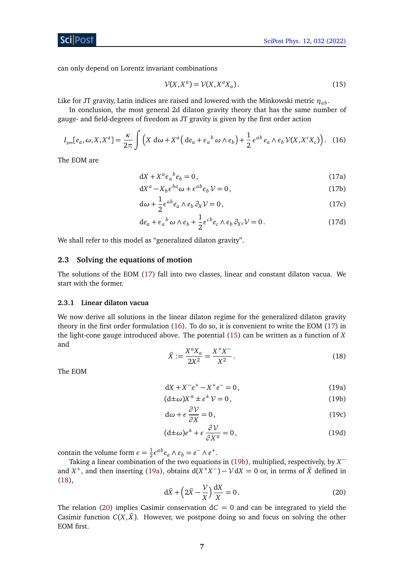can only depend on Lorentz invariant combinations

<span id="page-6-6"></span><span id="page-6-4"></span><span id="page-6-3"></span>
$$
\mathcal{V}(X, X^a) = \mathcal{V}(X, X^a X_a). \tag{15}
$$

Like for JT gravity, Latin indices are raised and lowered with the Minkowski metric  $\eta_{ab}$ .

In conclusion, the most general 2d dilaton gravity theory that has the same number of gauge- and field-degrees of freedom as JT gravity is given by the first order action

$$
I_{\text{gen}}[e_a, \omega, X, X^a] = \frac{\kappa}{2\pi} \int \left( X \, \mathrm{d}\omega + X^a \left( \mathrm{d}e_a + \epsilon_a{}^b \, \omega \wedge e_b \right) + \frac{1}{2} \, \epsilon^{ab} \, e_a \wedge e_b \, \mathcal{V}(X, X^c X_c) \right). \tag{16}
$$

<span id="page-6-2"></span>The EOM are

<span id="page-6-5"></span>
$$
dX + X^a \epsilon_a{}^b e_b = 0, \qquad (17a)
$$

$$
dX^{a} - X_{b} \epsilon^{ba} \omega + \epsilon^{ab} e_{b} \mathcal{V} = 0, \qquad (17b)
$$

$$
d\omega + \frac{1}{2}e^{ab}e_a \wedge e_b \partial_X \mathcal{V} = 0, \qquad (17c)
$$

$$
de_a + \epsilon_a{}^b \omega \wedge e_b + \frac{1}{2} \epsilon^{cb} e_c \wedge e_b \partial_{X^a} \mathcal{V} = 0.
$$
 (17d)

We shall refer to this model as "generalized dilaton gravity".

#### <span id="page-6-0"></span>**2.3 Solving the equations of motion**

The solutions of the EOM [\(17\)](#page-6-2) fall into two classes, linear and constant dilaton vacua. We start with the former.

#### <span id="page-6-1"></span>**2.3.1 Linear dilaton vacua**

<span id="page-6-7"></span>We now derive all solutions in the linear dilaton regime for the generalized dilaton gravity theory in the first order formulation [\(16\)](#page-6-3). To do so, it is convenient to write the EOM [\(17\)](#page-6-2) in the light-cone gauge introduced above. The potential [\(15\)](#page-6-4) can be written as a function of *X* and −

$$
\tilde{X} := \frac{X^a X_a}{2X^2} = \frac{X^+ X^-}{X^2} \,. \tag{18}
$$

The EOM

$$
dX + X^{-}e^{+} - X^{+}e^{-} = 0, \qquad (19a)
$$

$$
(\mathrm{d}\pm\omega)X^{\pm}\pm e^{\pm}\mathcal{V}=0,\tag{19b}
$$

$$
d\omega + \epsilon \frac{\partial \mathcal{V}}{\partial X} = 0, \qquad (19c)
$$

$$
(\mathrm{d}\pm\omega)e^{\pm} + \epsilon\frac{\partial V}{\partial X^{\mp}} = 0, \qquad (19d)
$$

contain the volume form  $\epsilon = \frac{1}{2}$  $\frac{1}{2} \epsilon^{ab} e_a \wedge e_b = e^- \wedge e^+.$ 

<span id="page-6-8"></span>Taking a linear combination of the two equations in [\(19b\)](#page-6-5), multiplied, respectively, by *X* − and  $X^+$ , and then inserting [\(19a\)](#page-6-6), obtains  $d(X^+X^-) - \mathcal{V}dX = 0$  or, in terms of  $\tilde{X}$  defined in [\(18\)](#page-6-7),

$$
d\tilde{X} + \left(2\tilde{X} - \frac{\mathcal{V}}{X}\right)\frac{dX}{X} = 0.
$$
\n(20)

The relation [\(20\)](#page-6-8) implies Casimir conservation  $dC = 0$  and can be integrated to yield the Casimir function  $C(X, \tilde{X})$ . However, we postpone doing so and focus on solving the other EOM first.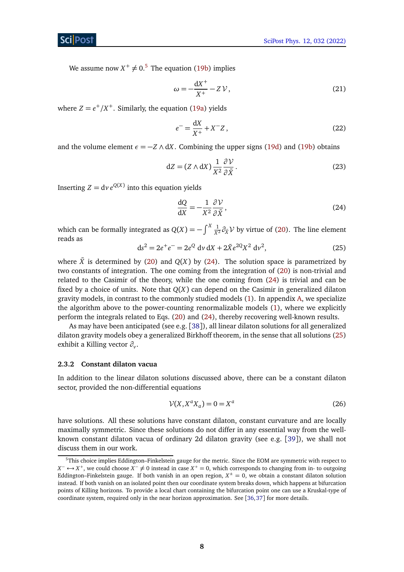We assume now  $X^+ \neq 0.5$  $X^+ \neq 0.5$  The equation [\(19b\)](#page-6-5) implies

$$
\omega = -\frac{\mathrm{d}X^+}{X^+} - Z\,\mathcal{V}\,,\tag{21}
$$

where  $Z = e^+/X^+$ . Similarly, the equation [\(19a\)](#page-6-6) yields

$$
e^{-} = \frac{dX}{X^{+}} + X^{-}Z, \qquad (22)
$$

and the volume element  $\epsilon = -Z \wedge dX$ . Combining the upper signs [\(19d\)](#page-3-4) and [\(19b\)](#page-6-5) obtains

$$
dZ = (Z \wedge dX) \frac{1}{X^2} \frac{\partial V}{\partial \tilde{X}}.
$$
 (23)

Inserting  $Z = dv e^{Q(X)}$  into this equation yields

<span id="page-7-2"></span>
$$
\frac{\mathrm{d}Q}{\mathrm{d}X} = -\frac{1}{X^2} \frac{\partial V}{\partial \tilde{X}},\tag{24}
$$

<span id="page-7-3"></span>which can be formally integrated as  $Q(X) = -\int^X \frac{1}{X^2} \partial_{\tilde{X}} V$  by virtue of [\(20\)](#page-6-8). The line element reads as

$$
ds^{2} = 2e^{+}e^{-} = 2e^{Q} dv dX + 2\tilde{X}e^{2Q}X^{2} dv^{2},
$$
\n(25)

where  $\tilde{X}$  is determined by [\(20\)](#page-6-8) and  $Q(X)$  by [\(24\)](#page-7-2). The solution space is parametrized by two constants of integration. The one coming from the integration of [\(20\)](#page-6-8) is non-trivial and related to the Casimir of the theory, while the one coming from [\(24\)](#page-7-2) is trivial and can be fixed by a choice of units. Note that *Q*(*X*) can depend on the Casimir in generalized dilaton gravity models, in contrast to the commonly studied models [\(1\)](#page-1-3). In appendix [A,](#page-25-0) we specialize the algorithm above to the power-counting renormalizable models [\(1\)](#page-1-3), where we explicitly perform the integrals related to Eqs. [\(20\)](#page-6-8) and [\(24\)](#page-7-2), thereby recovering well-known results.

As may have been anticipated (see e.g. [[38](#page-30-0)]), all linear dilaton solutions for all generalized dilaton gravity models obey a generalized Birkhoff theorem, in the sense that all solutions [\(25\)](#page-7-3) exhibit a Killing vector *∂<sup>v</sup>* .

#### <span id="page-7-0"></span>**2.3.2 Constant dilaton vacua**

In addition to the linear dilaton solutions discussed above, there can be a constant dilaton sector, provided the non-differential equations

$$
\mathcal{V}(X, X^a X_a) = 0 = X^a \tag{26}
$$

have solutions. All these solutions have constant dilaton, constant curvature and are locally maximally symmetric. Since these solutions do not differ in any essential way from the wellknown constant dilaton vacua of ordinary 2d dilaton gravity (see e.g. [[39](#page-30-1)]), we shall not discuss them in our work.

<span id="page-7-1"></span><sup>5</sup>This choice implies Eddington–Finkelstein gauge for the metric. Since the EOM are symmetric with respect to  $X^- \leftrightarrow X^+$ , we could choose  $X^- \neq 0$  instead in case  $X^+ = 0$ , which corresponds to changing from in- to outgoing Eddington–Finkelstein gauge. If both vanish in an open region,  $X^{\pm} = 0$ , we obtain a constant dilaton solution instead. If both vanish on an isolated point then our coordinate system breaks down, which happens at bifurcation points of Killing horizons. To provide a local chart containing the bifurcation point one can use a Kruskal-type of coordinate system, required only in the near horizon approximation. See [[36,](#page-29-16)[37](#page-29-17)] for more details.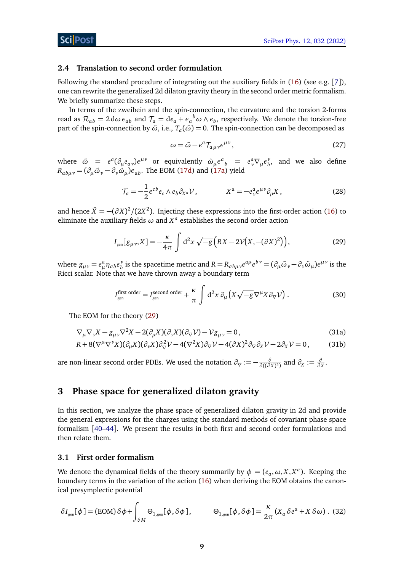#### <span id="page-8-0"></span>**2.4 Translation to second order formulation**

Following the standard procedure of integrating out the auxiliary fields in [\(16\)](#page-6-3) (see e.g. [[7](#page-28-6)]), one can rewrite the generalized 2d dilaton gravity theory in the second order metric formalism. We briefly summarize these steps.

In terms of the zweibein and the spin-connection, the curvature and the torsion 2-forms read as  $\mathcal{R}_{ab} = 2 \, \text{d}\omega \, \epsilon_{ab}$  and  $\mathcal{T}_a = \text{d}e_a + \epsilon_a{}^b \omega \wedge e_b$ , respectively. We denote the torsion-free part of the spin-connection by  $\tilde{\omega}$ , i.e.,  $T_a(\tilde{\omega}) = 0$ . The spin-connection can be decomposed as

<span id="page-8-3"></span>
$$
\omega = \tilde{\omega} - e^a \mathcal{T}_{a\mu\nu} e^{\mu\nu},\tag{27}
$$

where  $\tilde{\omega} = e^a (\partial_\mu e_{a\nu}) e^{\mu\nu}$  or equivalently  $\tilde{\omega}_\mu \epsilon^a{}_b = e^a_\nu \nabla_\mu e^{\nu}_b$  $\delta$ , and we also define  $R_{ab\mu\nu} = (\partial_{\mu}\tilde{\omega}_{\nu} - \partial_{\nu}\tilde{\omega}_{\mu})\epsilon_{ab}$ . The EOM [\(17d\)](#page-3-4) and [\(17a\)](#page-6-6) yield

$$
\mathcal{T}_a = -\frac{1}{2} \epsilon^{cb} e_c \wedge e_b \partial_{X^a} \mathcal{V}, \qquad \qquad X^a = -e^a_{\nu} \epsilon^{\mu \nu} \partial_{\mu} X, \qquad (28)
$$

and hence  $\tilde{X} = -(\partial X)^2/(2X^2)$ . Injecting these expressions into the first-order action [\(16\)](#page-6-3) to eliminate the auxiliary fields  $\omega$  and  $X^a$  establishes the second order action

$$
I_{\text{gen}}[g_{\mu\nu}, X] = -\frac{\kappa}{4\pi} \int d^2x \sqrt{-g} \left( RX - 2\nu \left( X, -(\partial X)^2 \right) \right),\tag{29}
$$

where  $g_{\mu\nu} = e^a_\mu \eta_{ab} e^{\nu}_b$ *b*<sup>*y*</sup> is the spacetime metric and  $R = R_{ab\mu\nu}e^{a\mu}e^{b\nu} = (\partial_{\mu}\tilde{\omega}_{\nu} - \partial_{\nu}\tilde{\omega}_{\mu})e^{\mu\nu}$  is the Ricci scalar. Note that we have thrown away a boundary term

<span id="page-8-6"></span><span id="page-8-4"></span>
$$
I_{\text{gen}}^{\text{first order}} = I_{\text{gen}}^{\text{second order}} + \frac{\kappa}{\pi} \int d^2 x \, \partial_\mu \left( X \sqrt{-g} \nabla^\mu X \partial_\nabla \mathcal{V} \right). \tag{30}
$$

The EOM for the theory [\(29\)](#page-8-3)

$$
\nabla_{\mu}\nabla_{\nu}X - g_{\mu\nu}\nabla^2X - 2(\partial_{\mu}X)(\partial_{\nu}X)(\partial_{\nabla}V) - Vg_{\mu\nu} = 0,
$$
\n(31a)

$$
R + 8(\nabla^{\mu}\nabla^{\nu}X)(\partial_{\mu}X)(\partial_{\nu}X)\partial_{\nabla}^{2}V - 4(\nabla^{2}X)\partial_{\nabla}V - 4(\partial X)^{2}\partial_{\nabla}\partial_{X}V - 2\partial_{X}V = 0, \qquad (31b)
$$

are non-linear second order PDEs. We used the notation  $\partial_{\nabla} := -\frac{\partial}{\partial f(\partial_{\nabla} f)}$  $\frac{\partial}{\partial ((\partial X)^2)}$  and  $\partial_X := \frac{\partial}{\partial X}$  $\frac{\partial}{\partial X}$ .

## <span id="page-8-1"></span>**3 Phase space for generalized dilaton gravity**

In this section, we analyze the phase space of generalized dilaton gravity in 2d and provide the general expressions for the charges using the standard methods of covariant phase space formalism [[40–](#page-30-2)[44](#page-30-3)]. We present the results in both first and second order formulations and then relate them.

#### <span id="page-8-2"></span>**3.1 First order formalism**

We denote the dynamical fields of the theory summarily by  $\phi = (e_a, \omega, X, X^a)$ . Keeping the boundary terms in the variation of the action [\(16\)](#page-6-3) when deriving the EOM obtains the canonical presymplectic potential

<span id="page-8-5"></span>
$$
\delta I_{\text{gen}}[\phi] = (\text{EOM}) \,\delta \phi + \int_{\partial M} \Theta_{1,\text{gen}}[\phi, \delta \phi], \qquad \Theta_{1,\text{gen}}[\phi, \delta \phi] = \frac{\kappa}{2\pi} \left( X_a \,\delta e^a + X \,\delta \omega \right). \tag{32}
$$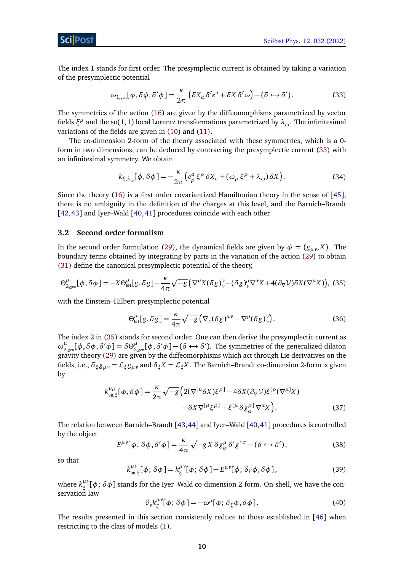The index 1 stands for first order. The presymplectic current is obtained by taking a variation of the presymplectic potential

<span id="page-9-1"></span>
$$
\omega_{1,\text{gen}}[\phi,\delta\phi,\delta'\phi] = \frac{\kappa}{2\pi} \left( \delta X_a \delta' e^a + \delta X \delta' \omega \right) - \left( \delta \leftrightarrow \delta' \right). \tag{33}
$$

The symmetries of the action [\(16\)](#page-6-3) are given by the diffeomorphisms parametrized by vector fields  $\xi^\mu$  and the so $(1,1)$  local Lorentz transformations parametrized by  $\lambda_\omega.$  The infinitesimal variations of the fields are given in [\(10\)](#page-4-2) and [\(11\)](#page-4-3).

The co-dimension 2-form of the theory associated with these symmetries, which is a 0 form in two dimensions, can be deduced by contracting the presymplectic current [\(33\)](#page-9-1) with an infinitesimal symmetry. We obtain

<span id="page-9-5"></span>
$$
k_{\xi,\lambda_{\omega}}[\phi,\delta\phi] = -\frac{\kappa}{2\pi} \left( e^a_\rho \xi^\rho \delta X_a + (\omega_\rho \xi^\rho + \lambda_\omega) \delta X \right). \tag{34}
$$

Since the theory [\(16\)](#page-6-3) is a first order covariantized Hamiltonian theory in the sense of [[45](#page-30-4)], there is no ambiguity in the definition of the charges at this level, and the Barnich–Brandt [[42,](#page-30-5)[43](#page-30-6)] and Iyer–Wald [[40,](#page-30-2)[41](#page-30-7)] procedures coincide with each other.

#### <span id="page-9-0"></span>**3.2 Second order formalism**

In the second order formulation [\(29\)](#page-8-3), the dynamical fields are given by  $\phi = (g_{\mu\nu}, X)$ . The boundary terms obtained by integrating by parts in the variation of the action [\(29\)](#page-8-3) to obtain [\(31\)](#page-8-4) define the canonical presymplectic potential of the theory,

$$
\Theta_{2,\text{gen}}^{\mu}[\phi,\delta\phi] = -X\Theta_{\text{EH}}^{\mu}[\,g,\delta g\,] - \frac{\kappa}{4\pi}\sqrt{-g}\left(\nabla^{\mu}X(\delta g)^{\nu}_{\nu} - (\delta g)^{\mu}_{\nu}\nabla^{\nu}X + 4(\partial_{\nabla}\mathcal{V})\delta X(\nabla^{\mu}X)\right),\tag{35}
$$

with the Einstein–Hilbert presymplectic potential

<span id="page-9-2"></span>
$$
\Theta_{\text{EH}}^{\mu}[g,\delta g] = \frac{\kappa}{4\pi} \sqrt{-g} \left( \nabla_{\nu} (\delta g)^{\mu\nu} - \nabla^{\mu} (\delta g)^{\nu}_{\nu} \right). \tag{36}
$$

The index 2 in [\(35\)](#page-9-2) stands for second order. One can then derive the presymplectic current as  $\omega_2^{\mu}$  $^{\mu}_{2,\rm{gen}}[\phi,\delta\phi,\delta'\phi] = \delta\Theta^{\mu}_{2\mu}$  $\mu_{2,\text{gen}}^{\mu}[\phi,\delta'\phi] - (\delta \leftrightarrow \delta')$ . The symmetries of the generalized dilaton gravity theory [\(29\)](#page-8-3) are given by the diffeomorphisms which act through Lie derivatives on the fields, i.e.,  $\delta_\xi g_{\mu\nu} = \mathcal{L}_\xi g_{\mu\nu}$  and  $\delta_\xi X = \mathcal{L}_\xi X$ . The Barnich–Brandt co-dimension 2-form is given by

$$
k_{\text{BB},\xi}^{\mu\rho}[\phi,\delta\phi] = \frac{\kappa}{2\pi}\sqrt{-g}\Big(2(\nabla^{[\mu}\delta X)\xi^{\rho]} - 4\delta X(\partial_{\nabla}\mathcal{V})\xi^{[\rho}(\nabla^{\mu]}X) - \delta X\nabla^{[\mu}\xi^{\rho]} + \xi^{[\mu}\delta g_{\alpha}^{\rho]}\nabla^{\alpha}X\Big). \tag{37}
$$

The relation between Barnich–Brandt [[43,](#page-30-6)[44](#page-30-3)] and Iyer–Wald [[40,](#page-30-2)[41](#page-30-7)] procedures is controlled by the object

<span id="page-9-4"></span>
$$
E^{\mu\nu}[\phi; \delta\phi, \delta'\phi] = \frac{\kappa}{4\pi} \sqrt{-g} X \delta g^{\mu}_{\sigma} \delta' g^{\nu\sigma} - (\delta \leftrightarrow \delta'), \qquad (38)
$$

so that

$$
k_{\text{BB},\xi}^{\mu\nu}[\phi;\delta\phi] = k_{\xi}^{\mu\nu}[\phi;\delta\phi] - E^{\mu\nu}[\phi;\delta_{\xi}\phi,\delta\phi],\tag{39}
$$

where  $k_\varepsilon^{\mu\nu}$ *ξ* [*φ*; *δφ*] stands for the Iyer–Wald co-dimension 2-form. On-shell, we have the conservation law

<span id="page-9-3"></span>
$$
\partial_{\nu}k_{\xi}^{\mu\nu}[\phi;\delta\phi] = -\omega^{\mu}[\phi;\delta_{\xi}\phi,\delta\phi].
$$
\n(40)

The results presented in this section consistently reduce to those established in [[46](#page-30-8)] when restricting to the class of models [\(1\)](#page-1-3).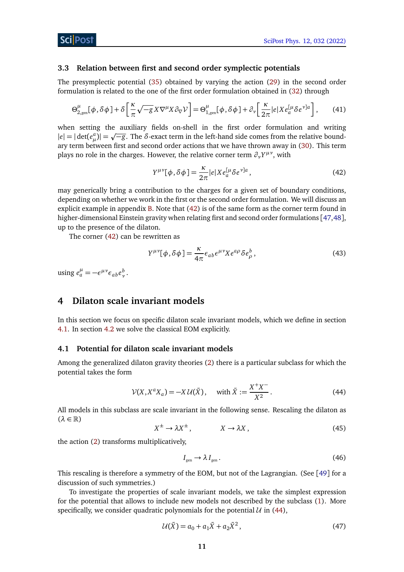#### <span id="page-10-0"></span>**3.3 Relation between first and second order symplectic potentials**

The presymplectic potential [\(35\)](#page-9-2) obtained by varying the action [\(29\)](#page-8-3) in the second order formulation is related to the one of the first order formulation obtained in [\(32\)](#page-8-5) through

$$
\Theta_{2,\text{gen}}^{\mu}[\phi,\delta\phi] + \delta\left[\frac{\kappa}{\pi}\sqrt{-g}X\nabla^{\mu}X\partial_{\nabla}\mathcal{V}\right] = \Theta_{1,\text{gen}}^{\mu}[\phi,\delta\phi] + \partial_{\nu}\left[\frac{\kappa}{2\pi}|e|Xe_{a}^{[\mu}\delta e^{\nu]a}\right],\tag{41}
$$

when setting the auxiliary fields on-shell in the first order formulation and writing p  $|e| = |\det(e_{\mu}^{a})| = \sqrt{-g}$ . The *δ*-exact term in the left-hand side comes from the relative boundary term between first and second order actions that we have thrown away in [\(30\)](#page-8-6). This term plays no role in the charges. However, the relative corner term  $\partial_{\nu}Y^{\mu\nu}$ , with

<span id="page-10-3"></span>
$$
Y^{\mu\nu}[\phi,\delta\phi] = \frac{\kappa}{2\pi} |e| X e_a^{[\mu} \delta e^{\nu]a}, \qquad (42)
$$

may generically bring a contribution to the charges for a given set of boundary conditions, depending on whether we work in the first or the second order formulation. We will discuss an explicit example in appendix  $B$ . Note that  $(42)$  is of the same form as the corner term found in higher-dimensional Einstein gravity when relating first and second order formulations [[47](#page-30-9)[,48](#page-30-10)], up to the presence of the dilaton.

The corner [\(42\)](#page-10-3) can be rewritten as

$$
Y^{\mu\nu}[\phi,\delta\phi] = \frac{\kappa}{4\pi} \epsilon_{ab} \epsilon^{\mu\nu} X e^{a\rho} \delta e^b_\rho, \qquad (43)
$$

using  $e_a^{\mu} = -\epsilon^{\mu \nu} \epsilon_{ab} e_v^b$ .

## <span id="page-10-1"></span>**4 Dilaton scale invariant models**

In this section we focus on specific dilaton scale invariant models, which we define in section [4.1.](#page-10-2) In section [4.2](#page-11-0) we solve the classical EOM explicitly.

#### <span id="page-10-2"></span>**4.1 Potential for dilaton scale invariant models**

Among the generalized dilaton gravity theories [\(2\)](#page-1-2) there is a particular subclass for which the potential takes the form

<span id="page-10-4"></span>
$$
\mathcal{V}(X, X^a X_a) = -X \mathcal{U}(\tilde{X}), \quad \text{with } \tilde{X} := \frac{X^+ X^-}{X^2}.
$$
 (44)

All models in this subclass are scale invariant in the following sense. Rescaling the dilaton as (*λ* ∈ R)

$$
X^{\pm} \to \lambda X^{\pm}, \qquad X \to \lambda X, \qquad (45)
$$

the action [\(2\)](#page-1-2) transforms multiplicatively,

<span id="page-10-5"></span>
$$
I_{\text{gen}} \to \lambda I_{\text{gen}}.\tag{46}
$$

This rescaling is therefore a symmetry of the EOM, but not of the Lagrangian. (See [[49](#page-30-11)] for a discussion of such symmetries.)

To investigate the properties of scale invariant models, we take the simplest expression for the potential that allows to include new models not described by the subclass [\(1\)](#page-1-3). More specifically, we consider quadratic polynomials for the potential  $U$  in [\(44\)](#page-10-4),

$$
U(\tilde{X}) = a_0 + a_1 \tilde{X} + a_2 \tilde{X}^2,
$$
 (47)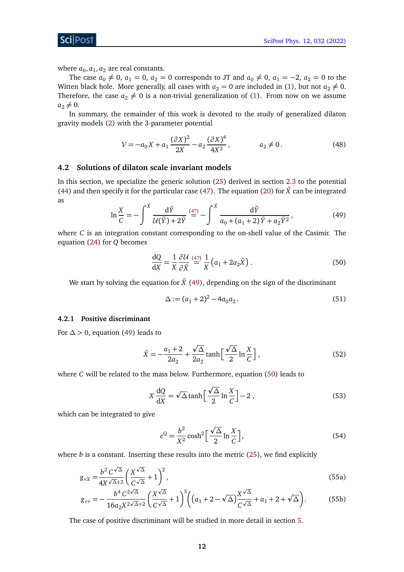ScilPos

where  $a_0$ ,  $a_1$ ,  $a_2$  are real constants.

The case  $a_0 \neq 0$ ,  $a_1 = 0$ ,  $a_2 = 0$  corresponds to JT and  $a_0 \neq 0$ ,  $a_1 = -2$ ,  $a_2 = 0$  to the Witten black hole. More generally, all cases with  $a_2 = 0$  are included in [\(1\)](#page-1-3), but not  $a_2 \neq 0$ . Therefore, the case  $a_2 \neq 0$  is a non-trivial generalization of [\(1\)](#page-1-3). From now on we assume  $a_2 \neq 0$ .

In summary, the remainder of this work is devoted to the study of generalized dilaton gravity models [\(2\)](#page-1-2) with the 3-parameter potential

$$
V = -a_0 X + a_1 \frac{(\partial X)^2}{2X} - a_2 \frac{(\partial X)^4}{4X^3}, \qquad a_2 \neq 0.
$$
 (48)

### <span id="page-11-0"></span>**4.2 Solutions of dilaton scale invariant models**

<span id="page-11-2"></span>In this section, we specialize the generic solution [\(25\)](#page-7-3) derived in section [2.3](#page-6-0) to the potential [\(44\)](#page-10-4) and then specify it for the particular case [\(47\)](#page-10-5). The equation [\(20\)](#page-6-8) for  $\tilde{X}$  can be integrated as

$$
\ln \frac{X}{C} = -\int_{-\infty}^{\tilde{X}} \frac{d\tilde{Y}}{\mathcal{U}(\tilde{Y}) + 2\tilde{Y}} \stackrel{(47)}{=} -\int_{-\infty}^{\tilde{X}} \frac{d\tilde{Y}}{a_0 + (a_1 + 2)\tilde{Y} + a_2 \tilde{Y}^2},
$$
\n(49)

where *C* is an integration constant corresponding to the on-shell value of the Casimir. The equation [\(24\)](#page-7-2) for *Q* becomes

<span id="page-11-3"></span>
$$
\frac{dQ}{dX} = \frac{1}{X} \frac{\partial U}{\partial \tilde{X}} \stackrel{(47)}{=} \frac{1}{X} \left( a_1 + 2a_2 \tilde{X} \right). \tag{50}
$$

We start by solving the equation for  $\tilde{X}$  [\(49\)](#page-11-2), depending on the sign of the discriminant

$$
\Delta := (a_1 + 2)^2 - 4a_0 a_2. \tag{51}
$$

#### <span id="page-11-1"></span>**4.2.1 Positive discriminant**

For  $\Delta > 0$ , equation [\(49\)](#page-11-2) leads to

$$
\tilde{X} = -\frac{a_1 + 2}{2a_2} + \frac{\sqrt{\Delta}}{2a_2} \tanh\left[\frac{\sqrt{\Delta}}{2} \ln\frac{X}{C}\right],\tag{52}
$$

where *C* will be related to the mass below. Furthermore, equation [\(50\)](#page-11-3) leads to

$$
X\frac{dQ}{dX} = \sqrt{\Delta}\tanh\left[\frac{\sqrt{\Delta}}{2}\ln\frac{X}{C}\right] - 2\,,\tag{53}
$$

which can be integrated to give

<span id="page-11-4"></span>
$$
e^{Q} = \frac{b^2}{X^2} \cosh^2\left[\frac{\sqrt{\Delta}}{2} \ln \frac{X}{C}\right],
$$
 (54)

where  $b$  is a constant. Inserting these results into the metric  $(25)$ , we find explicitly

$$
g_{\nu X} = \frac{b^2 C^{\sqrt{\Delta}}}{4X^{\sqrt{\Delta}+2}} \left(\frac{X^{\sqrt{\Delta}}}{C^{\sqrt{\Delta}}} + 1\right)^2,
$$
\n(55a)

$$
g_{\nu\nu} = -\frac{b^4 C^{2\sqrt{\Delta}}}{16a_2 X^{2\sqrt{\Delta}+2}} \left(\frac{X^{\sqrt{\Delta}}}{C^{\sqrt{\Delta}}} + 1\right)^3 \left( \left(a_1 + 2 - \sqrt{\Delta}\right) \frac{X^{\sqrt{\Delta}}}{C^{\sqrt{\Delta}}} + a_1 + 2 + \sqrt{\Delta} \right). \tag{55b}
$$

The case of positive discriminant will be studied in more detail in section [5.](#page-12-2)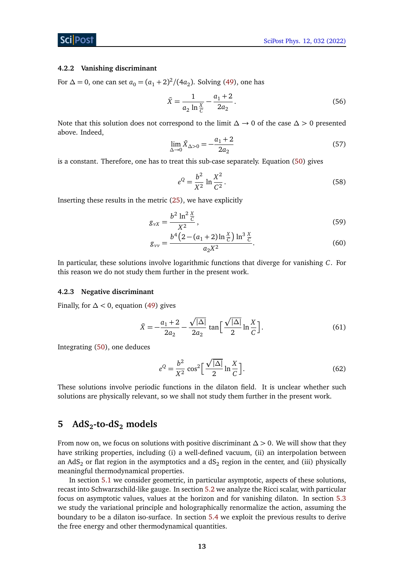#### <span id="page-12-0"></span>**4.2.2 Vanishing discriminant**

For  $\Delta = 0$ , one can set  $a_0 = (a_1 + 2)^2 / (4a_2)$ . Solving [\(49\)](#page-11-2), one has

$$
\tilde{X} = \frac{1}{a_2 \ln \frac{X}{C}} - \frac{a_1 + 2}{2a_2}.
$$
\n(56)

Note that this solution does not correspond to the limit *∆* → 0 of the case *∆ >* 0 presented above. Indeed,

$$
\lim_{\Delta \to 0} \tilde{X}_{\Delta > 0} = -\frac{a_1 + 2}{2a_2} \tag{57}
$$

is a constant. Therefore, one has to treat this sub-case separately. Equation [\(50\)](#page-11-3) gives

$$
e^{Q} = \frac{b^2}{X^2} \ln \frac{X^2}{C^2}.
$$
 (58)

Inserting these results in the metric [\(25\)](#page-7-3), we have explicitly

$$
g_{\nu X} = \frac{b^2 \ln^2 \frac{X}{C}}{X^2},\tag{59}
$$

$$
g_{\nu\nu} = \frac{b^4 \left(2 - (a_1 + 2) \ln \frac{X}{C}\right) \ln^3 \frac{X}{C}}{a_2 X^2}.
$$
 (60)

In particular, these solutions involve logarithmic functions that diverge for vanishing *C*. For this reason we do not study them further in the present work.

#### <span id="page-12-1"></span>**4.2.3 Negative discriminant**

Finally, for  $\Delta$  < 0, equation [\(49\)](#page-11-2) gives

$$
\tilde{X} = -\frac{a_1 + 2}{2a_2} - \frac{\sqrt{|\Delta|}}{2a_2} \tan\left[\frac{\sqrt{|\Delta|}}{2}\ln\frac{X}{C}\right].\tag{61}
$$

Integrating [\(50\)](#page-11-3), one deduces

$$
e^{Q} = \frac{b^2}{X^2} \cos^2\left[\frac{\sqrt{|\Delta|}}{2}\ln\frac{X}{C}\right].
$$
 (62)

These solutions involve periodic functions in the dilaton field. It is unclear whether such solutions are physically relevant, so we shall not study them further in the present work.

# <span id="page-12-2"></span>**5 AdS2-to-dS<sup>2</sup> models**

From now on, we focus on solutions with positive discriminant *∆ >* 0. We will show that they have striking properties, including (i) a well-defined vacuum, (ii) an interpolation between an AdS $_{2}$  or flat region in the asymptotics and a dS $_{2}$  region in the center, and (iii) physically meaningful thermodynamical properties.

In section [5.1](#page-13-0) we consider geometric, in particular asymptotic, aspects of these solutions, recast into Schwarzschild-like gauge. In section [5.2](#page-14-0) we analyze the Ricci scalar, with particular focus on asymptotic values, values at the horizon and for vanishing dilaton. In section [5.3](#page-17-0) we study the variational principle and holographically renormalize the action, assuming the boundary to be a dilaton iso-surface. In section [5.4](#page-18-0) we exploit the previous results to derive the free energy and other thermodynamical quantities.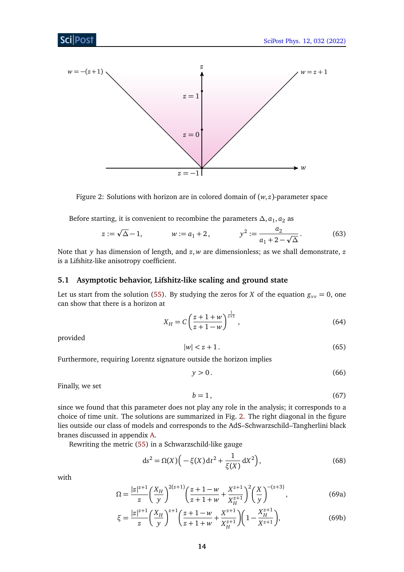<span id="page-13-1"></span>

Figure 2: Solutions with horizon are in colored domain of (*w*, *z*)-parameter space

Before starting, it is convenient to recombine the parameters  $\Delta$ ,  $a_1$ ,  $a_2$  as

$$
z := \sqrt{\Delta} - 1, \qquad w := a_1 + 2, \qquad y^2 := \frac{a_2}{a_1 + 2 - \sqrt{\Delta}}.
$$
 (63)

Note that *y* has dimension of length, and *z*, *w* are dimensionless; as we shall demonstrate, *z* is a Lifshitz-like anisotropy coefficient.

### <span id="page-13-0"></span>**5.1 Asymptotic behavior, Lifshitz-like scaling and ground state**

Let us start from the solution [\(55\)](#page-11-4). By studying the zeros for *X* of the equation  $g_{yy} = 0$ , one can show that there is a horizon at

<span id="page-13-5"></span>
$$
X_H = C \left( \frac{z + 1 + w}{z + 1 - w} \right)^{\frac{1}{z + 1}},\tag{64}
$$

<span id="page-13-4"></span>provided

$$
|w| < z + 1. \tag{65}
$$

Furthermore, requiring Lorentz signature outside the horizon implies

$$
y > 0. \tag{66}
$$

Finally, we set

<span id="page-13-2"></span>
$$
b = 1, \tag{67}
$$

since we found that this parameter does not play any role in the analysis; it corresponds to a choice of time unit. The solutions are summarized in Fig. [2.](#page-13-1) The right diagonal in the figure lies outside our class of models and corresponds to the AdS–Schwarzschild–Tangherlini black branes discussed in appendix [A.](#page-25-0)

Rewriting the metric [\(55\)](#page-11-4) in a Schwarzschild-like gauge

$$
ds^{2} = \Omega(X)\Big(-\xi(X)dt^{2} + \frac{1}{\xi(X)}dX^{2}\Big),
$$
\n(68)

<span id="page-13-3"></span>with

$$
\Omega = \frac{|z|^{z+1}}{z} \left(\frac{X_H}{y}\right)^{2(z+1)} \left(\frac{z+1-w}{z+1+w} + \frac{X^{z+1}}{X_H^{z+1}}\right)^2 \left(\frac{X}{y}\right)^{-(z+3)},\tag{69a}
$$

$$
\xi = \frac{|z|^{z+1}}{z} \left(\frac{X_H}{y}\right)^{z+1} \left(\frac{z+1-w}{z+1+w} + \frac{X^{z+1}}{X_H^{z+1}}\right) \left(1 - \frac{X_H^{z+1}}{X^{z+1}}\right),\tag{69b}
$$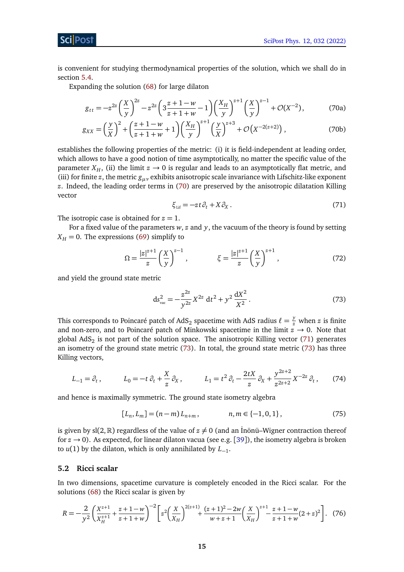is convenient for studying thermodynamical properties of the solution, which we shall do in section [5.4.](#page-18-0)

Expanding the solution [\(68\)](#page-13-2) for large dilaton

$$
g_{tt} = -z^{2z} \left(\frac{X}{y}\right)^{2z} - z^{2z} \left(3\frac{z+1-w}{z+1+w} - 1\right) \left(\frac{X_H}{y}\right)^{z+1} \left(\frac{X}{y}\right)^{z-1} + \mathcal{O}(X^{-2}),\tag{70a}
$$

$$
g_{XX} = \left(\frac{y}{X}\right)^2 + \left(\frac{z+1-w}{z+1+w} + 1\right) \left(\frac{X_H}{y}\right)^{z+1} \left(\frac{y}{X}\right)^{z+3} + \mathcal{O}\left(X^{-2(z+2)}\right),\tag{70b}
$$

establishes the following properties of the metric: (i) it is field-independent at leading order, which allows to have a good notion of time asymptotically, no matter the specific value of the parameter  $X_H$ , (ii) the limit  $z \to 0$  is regular and leads to an asymptotically flat metric, and (iii) for finite *z*, the metric *gµν* exhibits anisotropic scale invariance with Lifschitz-like exponent *z*. Indeed, the leading order terms in [\(70\)](#page-14-1) are preserved by the anisotropic dilatation Killing vector

<span id="page-14-1"></span>
$$
\xi_{\text{Lif}} = -zt \partial_t + X \partial_X. \tag{71}
$$

<span id="page-14-2"></span>The isotropic case is obtained for  $z = 1$ .

For a fixed value of the parameters *w*, *z* and *y*, the vacuum of the theory is found by setting  $X_H = 0$ . The expressions [\(69\)](#page-13-3) simplify to

$$
\Omega = \frac{|z|^{z+1}}{z} \left(\frac{X}{y}\right)^{z-1}, \qquad \qquad \xi = \frac{|z|^{z+1}}{z} \left(\frac{X}{y}\right)^{z+1}, \tag{72}
$$

and yield the ground state metric

<span id="page-14-3"></span>
$$
ds_{\text{vac}}^2 = -\frac{z^{2z}}{y^{2z}} X^{2z} dt^2 + y^2 \frac{dX^2}{X^2}.
$$
 (73)

This corresponds to Poincaré patch of AdS<sub>2</sub> spacetime with AdS radius  $\ell = \frac{y}{z}$  when *z* is finite and non-zero, and to Poincaré patch of Minkowski spacetime in the limit  $z \rightarrow 0$ . Note that global  $AdS_2$  is not part of the solution space. The anisotropic Killing vector [\(71\)](#page-14-2) generates an isometry of the ground state metric [\(73\)](#page-14-3). In total, the ground state metric [\(73\)](#page-14-3) has three Killing vectors,

$$
L_{-1} = \partial_t, \qquad L_0 = -t \partial_t + \frac{X}{z} \partial_x, \qquad L_1 = t^2 \partial_t - \frac{2tX}{z} \partial_x + \frac{y^{2z+2}}{z^{2z+2}} X^{-2z} \partial_t, \qquad (74)
$$

and hence is maximally symmetric. The ground state isometry algebra

<span id="page-14-4"></span>
$$
[L_n, L_m] = (n-m)L_{n+m}, \qquad n, m \in \{-1, 0, 1\},
$$
\n(75)

is given by  $sl(2,\mathbb{R})$  regardless of the value of  $z \neq 0$  (and an Inönü–Wigner contraction thereof for  $z \rightarrow 0$ ). As expected, for linear dilaton vacua (see e.g. [[39](#page-30-1)]), the isometry algebra is broken to *u*(1) by the dilaton, which is only annihilated by *L*−<sup>1</sup> .

#### <span id="page-14-0"></span>**5.2 Ricci scalar**

In two dimensions, spacetime curvature is completely encoded in the Ricci scalar. For the solutions [\(68\)](#page-13-2) the Ricci scalar is given by

$$
R = -\frac{2}{y^2} \left( \frac{X^{z+1}}{X_H^{z+1}} + \frac{z+1-w}{z+1+w} \right)^{-2} \left[ z^2 \left( \frac{X}{X_H} \right)^{2(z+1)} + \frac{(z+1)^2 - 2w}{w+z+1} \left( \frac{X}{X_H} \right)^{z+1} - \frac{z+1-w}{z+1+w} (2+z)^2 \right]. \tag{76}
$$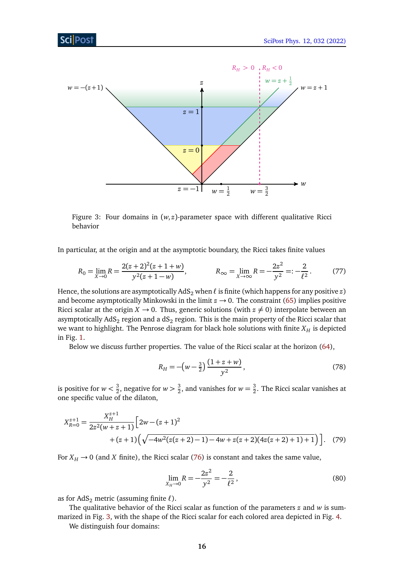<span id="page-15-0"></span>

Figure 3: Four domains in  $(w, z)$ -parameter space with different qualitative Ricci behavior

In particular, at the origin and at the asymptotic boundary, the Ricci takes finite values

$$
R_0 = \lim_{X \to 0} R = \frac{2(z+2)^2(z+1+w)}{y^2(z+1-w)}, \qquad R_\infty = \lim_{X \to \infty} R = -\frac{2z^2}{y^2} =: -\frac{2}{\ell^2}.
$$
 (77)

Hence, the solutions are asymptotically  $AdS_2$  when  $\ell$  is finite (which happens for any positive  $z$ ) and become asymptotically Minkowski in the limit  $z \rightarrow 0$ . The constraint [\(65\)](#page-13-4) implies positive Ricci scalar at the origin  $X \to 0$ . Thus, generic solutions (with  $z \neq 0$ ) interpolate between an asymptotically AdS $_2$  region and a dS $_2$  region. This is the main property of the Ricci scalar that we want to highlight. The Penrose diagram for black hole solutions with finite  $X_H$  is depicted in Fig. [1.](#page-2-2)

Below we discuss further properties. The value of the Ricci scalar at the horizon [\(64\)](#page-13-5),

$$
R_H = -\left(w - \frac{3}{2}\right) \frac{\left(1 + z + w\right)}{y^2},\tag{78}
$$

is positive for  $w < \frac{3}{2}$  $\frac{3}{2}$ , negative for  $w > \frac{3}{2}$  $\frac{3}{2}$ , and vanishes for  $w = \frac{3}{2}$  $\frac{3}{2}$ . The Ricci scalar vanishes at one specific value of the dilaton,

$$
X_{R=0}^{z+1} = \frac{X_H^{z+1}}{2z^2(w+z+1)} \Big[ 2w - (z+1)^2 + (z+1)\Big(\sqrt{-4w^2(z(z+2)-1) - 4w + z(z+2)(4z(z+2)+1) + 1}\Big) \Big]. \tag{79}
$$

For  $X_H \rightarrow 0$  (and *X* finite), the Ricci scalar [\(76\)](#page-14-4) is constant and takes the same value,

<span id="page-15-1"></span>
$$
\lim_{X_H \to 0} R = -\frac{2z^2}{y^2} = -\frac{2}{\ell^2},\tag{80}
$$

as for  $AdS_2$  metric (assuming finite  $\ell$ ).

The qualitative behavior of the Ricci scalar as function of the parameters *z* and *w* is summarized in Fig. [3,](#page-15-0) with the shape of the Ricci scalar for each colored area depicted in Fig. [4.](#page-16-0)

We distinguish four domains: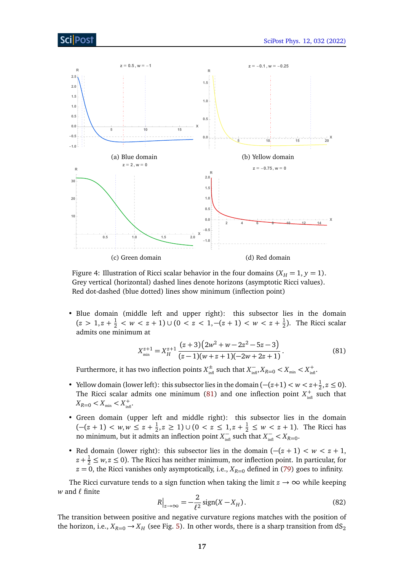<span id="page-16-0"></span>

Figure 4: Illustration of Ricci scalar behavior in the four domains  $(X_H = 1, y = 1)$ . Grey vertical (horizontal) dashed lines denote horizons (asymptotic Ricci values). Red dot-dashed (blue dotted) lines show minimum (inflection point)

• Blue domain (middle left and upper right): this subsector lies in the domain  $(z > 1, z + \frac{1}{2} < w < z + 1) \cup (0 < z < 1, -(z + 1) < w < z + \frac{1}{2})$  $\frac{1}{2}$ ). The Ricci scalar admits one minimum at

<span id="page-16-1"></span>
$$
X_{\min}^{z+1} = X_H^{z+1} \frac{(z+3)(2w^2 + w - 2z^2 - 5z - 3)}{(z-1)(w+z+1)(-2w+2z+1)}.
$$
\n(81)

Furthermore, it has two inflection points  $X_{\text{inf}}^{\pm}$  such that  $X_{\text{inf}}^{-}$ ,  $X_{R=0} < X_{\text{min}} + X_{\text{inf}}^{+}$ .

- Yellow domain (lower left): this subsector lies in the domain  $(-(z+1) < w < z+\frac{1}{2})$  $\frac{1}{2}, z \le 0$ ). The Ricci scalar admits one minimum [\(81\)](#page-16-1) and one inflection point  $X_{\text{infl}}^+$  such that  $X_{R=0} < X_{\min} < X_{\inf}^+$ .
- Green domain (upper left and middle right): this subsector lies in the domain  $(-(z+1) < w, w \leq z + \frac{1}{2})$  $\frac{1}{2}$ , *z* ≥ 1)∪ (0 < *z* ≤ 1, *z* +  $\frac{1}{2}$  ≤ *w* < *z* + 1). The Ricci has no minimum, but it admits an inflection point  $X_{\text{infl}}^-$  such that  $X_{\text{infl}}^- < X_{R=0}$ .
- Red domain (lower right): this subsector lies in the domain (−(*z* + 1) *< w < z* + 1,  $z + \frac{1}{2} \leq w, z \leq 0$ ). The Ricci has neither minimum, nor inflection point. In particular, for  $z = 0$ , the Ricci vanishes only asymptotically, i.e.,  $X_{R=0}$  defined in [\(79\)](#page-15-1) goes to infinity.

<span id="page-16-2"></span>The Ricci curvature tends to a sign function when taking the limit  $z \rightarrow \infty$  while keeping  $w$  and  $\ell$  finite

$$
R\big|_{z\to\infty} = -\frac{2}{\ell^2} \operatorname{sign}(X - X_H). \tag{82}
$$

The transition between positive and negative curvature regions matches with the position of the horizon, i.e.,  $X_{R=0} \rightarrow X_H$  (see Fig. [5\)](#page-17-1). In other words, there is a sharp transition from dS<sub>2</sub>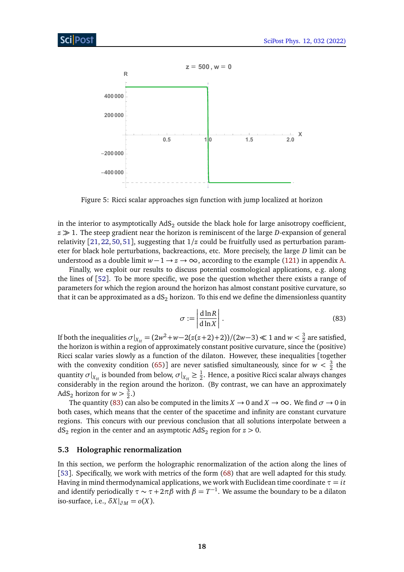<span id="page-17-1"></span>

Figure 5: Ricci scalar approaches sign function with jump localized at horizon

in the interior to asymptotically  $AdS_2$  outside the black hole for large anisotropy coefficient,  $z \gg 1$ . The steep gradient near the horizon is reminiscent of the large *D*-expansion of general relativity [[21,](#page-29-1) [22,](#page-29-2) [50,](#page-30-12) [51](#page-30-13)], suggesting that 1*/z* could be fruitfully used as perturbation parameter for black hole perturbations, backreactions, etc. More precisely, the large *D* limit can be understood as a double limit  $w-1 \rightarrow z \rightarrow \infty$ , according to the example [\(121\)](#page-26-1) in appendix [A.](#page-25-0)

<span id="page-17-2"></span>Finally, we exploit our results to discuss potential cosmological applications, e.g. along the lines of [[52](#page-30-14)]. To be more specific, we pose the question whether there exists a range of parameters for which the region around the horizon has almost constant positive curvature, so that it can be approximated as a  $dS_2$  horizon. To this end we define the dimensionless quantity

$$
\sigma := \left| \frac{d \ln R}{d \ln X} \right|.
$$
\n(83)

If both the inequalities  $\sigma|_{X_H} = (2w^2 + w - 2(z(z+2)+2))/(2w-3) \ll 1$  and  $w < \frac{3}{2}$  $\frac{3}{2}$  are satisfied, the horizon is within a region of approximately constant positive curvature, since the (positive) Ricci scalar varies slowly as a function of the dilaton. However, these inequalities [together with the convexity condition [\(65\)](#page-13-4)] are never satisfied simultaneously, since for  $w < \frac{3}{2}$  $rac{3}{2}$  the quantity  $\sigma|_{X_H}$  is bounded from below,  $\sigma|_{X_H}\geq \frac{1}{2}$  $\frac{1}{2}$ . Hence, a positive Ricci scalar always changes considerably in the region around the horizon. (By contrast, we can have an approximately AdS<sub>2</sub> horizon for  $w > \frac{3}{2}$  $\frac{3}{2}$ .)

The quantity [\(83\)](#page-17-2) can also be computed in the limits  $X \to 0$  and  $X \to \infty$ . We find  $\sigma \to 0$  in both cases, which means that the center of the spacetime and infinity are constant curvature regions. This concurs with our previous conclusion that all solutions interpolate between a  $dS<sub>2</sub>$  region in the center and an asymptotic  $AdS<sub>2</sub>$  region for  $z > 0$ .

#### <span id="page-17-0"></span>**5.3 Holographic renormalization**

In this section, we perform the holographic renormalization of the action along the lines of [[53](#page-30-15)]. Specifically, we work with metrics of the form [\(68\)](#page-13-2) that are well adapted for this study. Having in mind thermodynamical applications, we work with Euclidean time coordinate  $\tau = i\tau$ and identify periodically  $\tau \sim \tau + 2\pi\beta$  with  $\beta = T^{-1}$ . We assume the boundary to be a dilaton iso-surface, i.e.,  $\delta X|_{\partial M} = o(X)$ .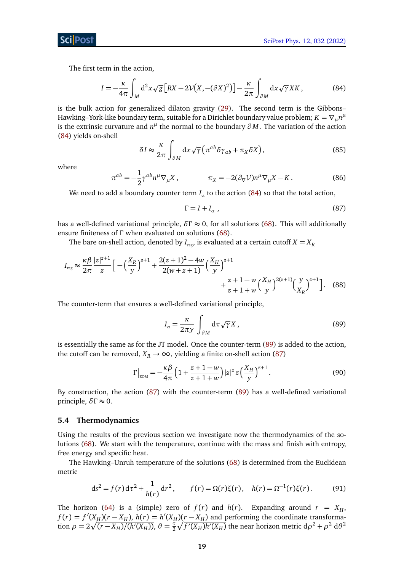ScilPost

The first term in the action,

<span id="page-18-1"></span>
$$
I = -\frac{\kappa}{4\pi} \int_M d^2x \sqrt{g} \left[ RX - 2\mathcal{V}(X, -(\partial X)^2) \right] - \frac{\kappa}{2\pi} \int_{\partial M} dx \sqrt{\gamma} XK, \tag{84}
$$

is the bulk action for generalized dilaton gravity [\(29\)](#page-8-3). The second term is the Gibbons– Hawking–York-like boundary term, suitable for a Dirichlet boundary value problem;  $K = \nabla_{\mu} n^{\mu}$ is the extrinsic curvature and  $n^{\mu}$  the normal to the boundary  $\partial M$ . The variation of the action [\(84\)](#page-18-1) yields on-shell

$$
\delta I \approx \frac{\kappa}{2\pi} \int_{\partial M} dx \sqrt{\gamma} \left( \pi^{ab} \delta \gamma_{ab} + \pi_X \delta X \right), \tag{85}
$$

where

$$
\pi^{ab} = -\frac{1}{2} \gamma^{ab} n^{\mu} \nabla_{\mu} X , \qquad \pi_X = -2(\partial_{\nabla} V) n^{\mu} \nabla_{\mu} X - K . \qquad (86)
$$

We need to add a boundary counter term  $I_{\text{ct}}$  to the action [\(84\)](#page-18-1) so that the total action,

<span id="page-18-3"></span>
$$
\Gamma = I + I_{\text{ct}} \tag{87}
$$

has a well-defined variational principle,  $\delta\Gamma \approx 0$ , for all solutions [\(68\)](#page-13-2). This will additionally ensure finiteness of *Γ* when evaluated on solutions [\(68\)](#page-13-2).

The bare on-shell action, denoted by  $I_{\text{rec}}$ , is evaluated at a certain cutoff  $X = X_R$ 

$$
I_{\text{reg}} \approx \frac{\kappa \beta}{2\pi} \frac{|z|^{z+1}}{z} \Big[ -\Big(\frac{X_R}{y}\Big)^{z+1} + \frac{2(z+1)^2 - 4w}{2(w+z+1)} \Big(\frac{X_H}{y}\Big)^{z+1} + \frac{z+1-w}{z+1+w} \Big(\frac{X_H}{y}\Big)^{2(z+1)} \Big(\frac{y}{X_R}\Big)^{z+1} \Big]. \tag{88}
$$

The counter-term that ensures a well-defined variational principle,

<span id="page-18-4"></span><span id="page-18-2"></span>
$$
I_{\rm ct} = \frac{\kappa}{2\pi y} \int_{\partial M} d\tau \sqrt{\gamma} X , \qquad (89)
$$

is essentially the same as for the JT model. Once the counter-term [\(89\)](#page-18-2) is added to the action, the cutoff can be removed,  $X_R \rightarrow \infty$ , yielding a finite on-shell action [\(87\)](#page-18-3)

$$
\Gamma\big|_{\text{EOM}} = -\frac{\kappa \beta}{4\pi} \left( 1 + \frac{z + 1 - w}{z + 1 + w} \right) |z|^z z \left( \frac{X_H}{y} \right)^{z + 1} . \tag{90}
$$

By construction, the action [\(87\)](#page-18-3) with the counter-term [\(89\)](#page-18-2) has a well-defined variational principle, *δΓ* ≈ 0.

#### <span id="page-18-0"></span>**5.4 Thermodynamics**

Using the results of the previous section we investigate now the thermodynamics of the solutions [\(68\)](#page-13-2). We start with the temperature, continue with the mass and finish with entropy, free energy and specific heat.

The Hawking–Unruh temperature of the solutions [\(68\)](#page-13-2) is determined from the Euclidean metric

$$
ds^{2} = f(r) d\tau^{2} + \frac{1}{h(r)} dr^{2}, \qquad f(r) = \Omega(r)\xi(r), \quad h(r) = \Omega^{-1}(r)\xi(r). \tag{91}
$$

The horizon [\(64\)](#page-13-5) is a (simple) zero of  $f(r)$  and  $h(r)$ . Expanding around  $r = X_H$ ,  $f(r) = f'(X_H)(r - X_H)$ ,  $h(r) = h'(X_H)(r - X_H)$  and performing the coordinate transformation  $\rho = 2\sqrt{(r - X_H)/(h'(X_H))}, \theta = \frac{\tau}{2}$  $\frac{\tau}{2} \sqrt{f'(X_H) h'(X_H)}$  the near horizon metric d $\rho^2 + \rho^2$  d $\theta^2$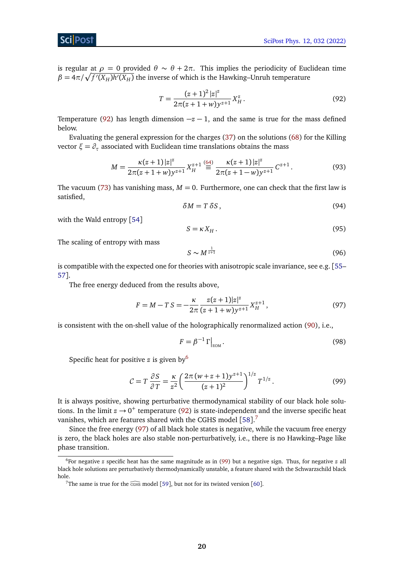### Sci Post

is regular at *ρ* = 0 provided *θ* ∼ *θ* + 2*π*. This implies the periodicity of Euclidean time  $\beta = 4\pi/\sqrt{f'(X_H)h'(X_H)}$  the inverse of which is the Hawking–Unruh temperature

<span id="page-19-0"></span>
$$
T = \frac{(z+1)^2 |z|^z}{2\pi (z+1+w)y^{z+1}} X_H^z.
$$
\n(92)

Temperature [\(92\)](#page-19-0) has length dimension  $-z-1$ , and the same is true for the mass defined below.

Evaluating the general expression for the charges [\(37\)](#page-9-3) on the solutions [\(68\)](#page-13-2) for the Killing vector  $\zeta = \partial_\tau$  associated with Euclidean time translations obtains the mass

$$
M = \frac{\kappa(z+1)|z|^z}{2\pi(z+1+w)y^{z+1}} X_H^{z+1} \stackrel{(64)}{\equiv} \frac{\kappa(z+1)|z|^z}{2\pi(z+1-w)y^{z+1}} C^{z+1}.
$$
 (93)

The vacuum [\(73\)](#page-14-3) has vanishing mass,  $M = 0$ . Furthermore, one can check that the first law is satisfied,

<span id="page-19-6"></span><span id="page-19-5"></span>
$$
\delta M = T \delta S, \tag{94}
$$

with the Wald entropy [[54](#page-30-16)]

$$
S = \kappa X_H. \tag{95}
$$

The scaling of entropy with mass

<span id="page-19-3"></span>
$$
S \sim M^{\frac{1}{z+1}} \tag{96}
$$

is compatible with the expected one for theories with anisotropic scale invariance, see e.g. [[55–](#page-30-17) [57](#page-31-0)].

The free energy deduced from the results above,

$$
F = M - TS = -\frac{\kappa}{2\pi} \frac{z(z+1)|z|^z}{(z+1+w)y^{z+1}} X_H^{z+1},\tag{97}
$$

is consistent with the on-shell value of the holographically renormalized action [\(90\)](#page-18-4), i.e.,

<span id="page-19-4"></span>
$$
F = \beta^{-1} \Gamma \big|_{\text{EOM}}.\tag{98}
$$

Specific heat for positive *z* is given by[6](#page-19-1)

$$
C = T \frac{\partial S}{\partial T} = \frac{\kappa}{z^2} \left( \frac{2\pi (w + z + 1) y^{z+1}}{(z+1)^2} \right)^{1/z} T^{1/z}.
$$
 (99)

It is always positive, showing perturbative thermodynamical stability of our black hole solutions. In the limit  $z \rightarrow 0^+$  temperature [\(92\)](#page-19-0) is state-independent and the inverse specific heat vanishes, which are features shared with the CGHS model  $[58].<sup>7</sup>$  $[58].<sup>7</sup>$  $[58].<sup>7</sup>$  $[58].<sup>7</sup>$  $[58].<sup>7</sup>$ 

Since the free energy [\(97\)](#page-19-3) of all black hole states is negative, while the vacuum free energy is zero, the black holes are also stable non-perturbatively, i.e., there is no Hawking–Page like phase transition.

<span id="page-19-1"></span><sup>6</sup>For negative *z* specific heat has the same magnitude as in [\(99\)](#page-19-4) but a negative sign. Thus, for negative *z* all black hole solutions are perturbatively thermodynamically unstable, a feature shared with the Schwarzschild black hole.

<span id="page-19-2"></span><sup>&</sup>lt;sup>7</sup>The same is true for the  $\widehat{C}$ GHS model [[59](#page-31-2)], but not for its twisted version [[60](#page-31-3)].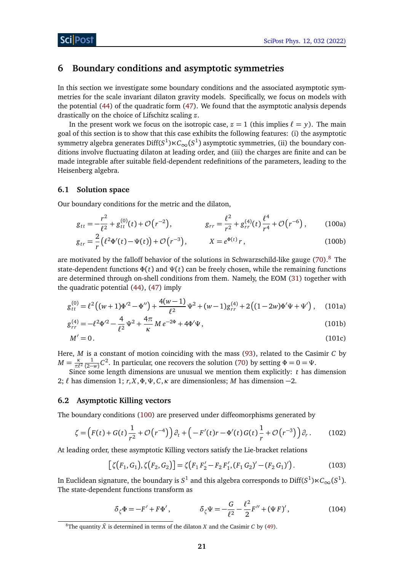## <span id="page-20-0"></span>**6 Boundary conditions and asymptotic symmetries**

In this section we investigate some boundary conditions and the associated asymptotic symmetries for the scale invariant dilaton gravity models. Specifically, we focus on models with the potential [\(44\)](#page-10-4) of the quadratic form [\(47\)](#page-10-5). We found that the asymptotic analysis depends drastically on the choice of Lifschitz scaling *z*.

In the present work we focus on the isotropic case,  $z = 1$  (this implies  $\ell = y$ ). The main goal of this section is to show that this case exhibits the following features: (i) the asymptotic symmetry algebra generates Diff( $S^1$ ) $\ltimes C_\infty(S^1)$  asymptotic symmetries, (ii) the boundary conditions involve fluctuating dilaton at leading order, and (iii) the charges are finite and can be made integrable after suitable field-dependent redefinitions of the parameters, leading to the Heisenberg algebra.

### <span id="page-20-1"></span>**6.1 Solution space**

Our boundary conditions for the metric and the dilaton,

<span id="page-20-4"></span>
$$
g_{tt} = -\frac{r^2}{\ell^2} + g_{tt}^{(0)}(t) + \mathcal{O}(r^{-2}), \qquad g_{rr} = \frac{\ell^2}{r^2} + g_{rr}^{(4)}(t) \frac{\ell^4}{r^4} + \mathcal{O}(r^{-6}), \qquad (100a)
$$

$$
g_{tr} = \frac{2}{r} \left( \ell^2 \Phi'(t) - \Psi(t) \right) + \mathcal{O}\left(r^{-3}\right), \qquad X = e^{\Phi(t)} r, \qquad (100b)
$$

are motivated by the falloff behavior of the solutions in Schwarzschild-like gauge  $(70)$ .<sup>[8](#page-20-3)</sup> The state-dependent functions  $\Phi(t)$  and  $\Psi(t)$  can be freely chosen, while the remaining functions are determined through on-shell conditions from them. Namely, the EOM [\(31\)](#page-8-4) together with the quadratic potential [\(44\)](#page-10-4), [\(47\)](#page-10-5) imply

$$
g_{tt}^{(0)} = \ell^2 \left( (w+1)\Phi'^2 - \Phi'' \right) + \frac{4(w-1)}{\ell^2} \Psi^2 + (w-1)g_{rr}^{(4)} + 2\left( (1-2w)\Phi' \Psi + \Psi' \right), \quad (101a)
$$

$$
g_{rr}^{(4)} = -\ell^2 \Phi^{\prime 2} - \frac{4}{\ell^2} \Psi^2 + \frac{4\pi}{\kappa} M e^{-2\Phi} + 4\Phi^{\prime} \Psi,
$$
 (101b)

$$
M'=0.\t(101c)
$$

Here, *M* is a constant of motion coinciding with the mass [\(93\)](#page-19-5), related to the Casimir *C* by  $M = \frac{\kappa}{\pi \ell}$ *π`*<sup>2</sup>  $\frac{1}{(2-w)}C^2$ . In particular, one recovers the solution [\(70\)](#page-14-1) by setting  $\Phi = 0 = \Psi$ .

Since some length dimensions are unusual we mention them explicitly: *t* has dimension 2;  $\ell$  has dimension 1;  $r, X, \Phi, \Psi, C, \kappa$  are dimensionless; *M* has dimension −2.

### <span id="page-20-2"></span>**6.2 Asymptotic Killing vectors**

The boundary conditions [\(100\)](#page-20-4) are preserved under diffeomorphisms generated by

$$
\zeta = \left( F(t) + G(t) \frac{1}{r^2} + \mathcal{O}\left(r^{-4}\right) \right) \partial_t + \left( -F'(t)r - \Phi'(t)G(t) \frac{1}{r} + \mathcal{O}\left(r^{-3}\right) \right) \partial_r. \tag{102}
$$

At leading order, these asymptotic Killing vectors satisfy the Lie-bracket relations

<span id="page-20-5"></span>
$$
[\zeta(F_1, G_1), \zeta(F_2, G_2)] = \zeta(F_1 F_2' - F_2 F_1', (F_1 G_2)' - (F_2 G_1)').
$$
\n(103)

In Euclidean signature, the boundary is  $S^1$  and this algebra corresponds to Diff( $S^1$ ) $\ltimes C_\infty(S^1)$ . The state-dependent functions transform as

$$
\delta_{\zeta} \Phi = -F' + F\Phi', \qquad \qquad \delta_{\zeta} \Psi = -\frac{G}{\ell^2} - \frac{\ell^2}{2} F'' + (\Psi F)', \qquad (104)
$$

<span id="page-20-3"></span><sup>&</sup>lt;sup>8</sup>The quantity  $\tilde{X}$  is determined in terms of the dilaton *X* and the Casimir *C* by [\(49\)](#page-11-2).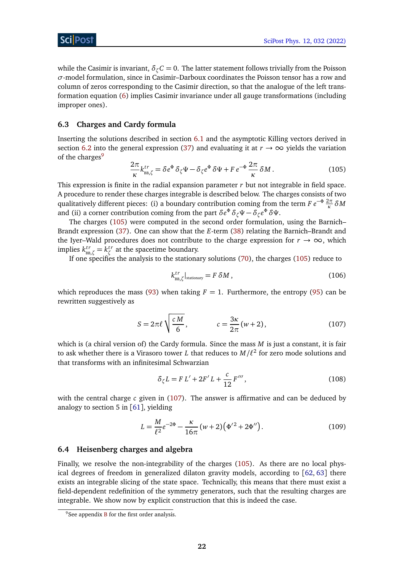while the Casimir is invariant,  $\delta_{\zeta}C = 0$ . The latter statement follows trivially from the Poisson *σ*-model formulation, since in Casimir–Darboux coordinates the Poisson tensor has a row and column of zeros corresponding to the Casimir direction, so that the analogue of the left transformation equation [\(6\)](#page-4-0) implies Casimir invariance under all gauge transformations (including improper ones).

### <span id="page-21-0"></span>**6.3 Charges and Cardy formula**

Inserting the solutions described in section [6.1](#page-20-1) and the asymptotic Killing vectors derived in section [6.2](#page-20-2) into the general expression [\(37\)](#page-9-3) and evaluating it at  $r \to \infty$  yields the variation of the charges<sup>[9](#page-21-2)</sup>

<span id="page-21-3"></span>
$$
\frac{2\pi}{\kappa} k_{\text{BB},\zeta}^{tr} = \delta e^{\Phi} \, \delta_{\zeta} \Psi - \delta_{\zeta} e^{\Phi} \, \delta \Psi + F \, e^{-\Phi} \, \frac{2\pi}{\kappa} \, \delta M \,. \tag{105}
$$

This expression is finite in the radial expansion parameter *r* but not integrable in field space. A procedure to render these charges integrable is described below. The charges consists of two qualitatively different pieces: (i) a boundary contribution coming from the term  $Fe^{-\Phi} \frac{2\pi}{\kappa} \delta M$ and (ii) a corner contribution coming from the part  $\delta e^{\Phi} \, \delta_{\zeta} \Psi - \delta_{\zeta} e^{\Phi} \, \delta \Psi.$ 

The charges [\(105\)](#page-21-3) were computed in the second order formulation, using the Barnich– Brandt expression [\(37\)](#page-9-3). One can show that the *E*-term [\(38\)](#page-9-4) relating the Barnich–Brandt and the Iyer–Wald procedures does not contribute to the charge expression for  $r \to \infty$ , which  $\lim \lim_{k \to \infty} k^{tr}_{\text{BB},\zeta} = k^{tr}_{\zeta}$ *ζ* at the spacetime boundary.

If one specifies the analysis to the stationary solutions [\(70\)](#page-14-1), the charges [\(105\)](#page-21-3) reduce to

$$
k_{\rm BB,\zeta}^{tr}|_{\rm stationary} = F \,\delta M\,,\tag{106}
$$

which reproduces the mass [\(93\)](#page-19-5) when taking  $F = 1$ . Furthermore, the entropy [\(95\)](#page-19-6) can be rewritten suggestively as

<span id="page-21-4"></span>
$$
S = 2\pi\ell \sqrt{\frac{cM}{6}}, \qquad c = \frac{3\kappa}{2\pi} (w+2), \qquad (107)
$$

which is (a chiral version of) the Cardy formula. Since the mass *M* is just a constant, it is fair to ask whether there is a Virasoro tower  $L$  that reduces to  $M/\ell^2$  for zero mode solutions and that transforms with an infinitesimal Schwarzian

$$
\delta_{\zeta} L = F L' + 2F' L + \frac{c}{12} F''' , \qquad (108)
$$

with the central charge *c* given in [\(107\)](#page-21-4). The answer is affirmative and can be deduced by analogy to section 5 in  $[61]$  $[61]$  $[61]$ , yielding

$$
L = \frac{M}{\ell^2} e^{-2\Phi} - \frac{\kappa}{16\pi} (w+2) (\Phi'^2 + 2\Phi'').
$$
 (109)

#### <span id="page-21-1"></span>**6.4 Heisenberg charges and algebra**

Finally, we resolve the non-integrability of the charges [\(105\)](#page-21-3). As there are no local physical degrees of freedom in generalized dilaton gravity models, according to [[62,](#page-31-5) [63](#page-31-6)] there exists an integrable slicing of the state space. Technically, this means that there must exist a field-dependent redefinition of the symmetry generators, such that the resulting charges are integrable. We show now by explicit construction that this is indeed the case.

<span id="page-21-2"></span> $9^9$ See appendix [B](#page-26-0) for the first order analysis.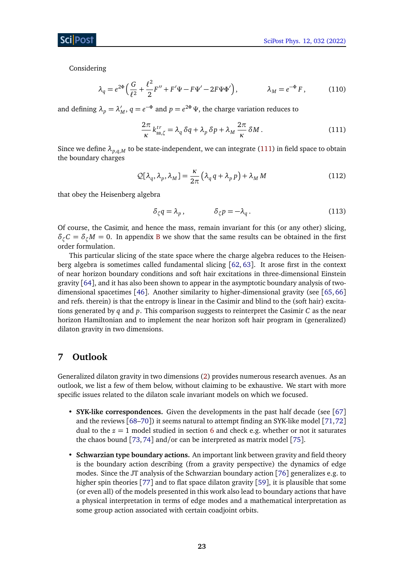Considering

$$
\lambda_q = e^{2\Phi} \left( \frac{G}{\ell^2} + \frac{\ell^2}{2} F'' + F' \Psi - F \Psi' - 2F \Psi \Phi' \right), \qquad \lambda_M = e^{-\Phi} F, \qquad (110)
$$

and defining  $\lambda_p = \lambda_p'$  $M$ ,  $q = e^{-\Phi}$  and  $p = e^{2\Phi} \Psi$ , the charge variation reduces to

<span id="page-22-1"></span>
$$
\frac{2\pi}{\kappa} k_{\text{BB},\zeta}^{tr} = \lambda_q \,\delta q + \lambda_p \,\delta p + \lambda_M \,\frac{2\pi}{\kappa} \,\delta M \,. \tag{111}
$$

Since we define  $\lambda_{p,q,M}$  to be state-independent, we can integrate [\(111\)](#page-22-1) in field space to obtain the boundary charges

$$
Q[\lambda_q, \lambda_p, \lambda_M] = \frac{\kappa}{2\pi} \left( \lambda_q q + \lambda_p p \right) + \lambda_M M \tag{112}
$$

that obey the Heisenberg algebra

$$
\delta_{\zeta} q = \lambda_p, \qquad \qquad \delta_{\zeta} p = -\lambda_q. \tag{113}
$$

Of course, the Casimir, and hence the mass, remain invariant for this (or any other) slicing,  $\delta_{\gamma}C = \delta_{\gamma}M = 0$ . In appendix [B](#page-26-0) we show that the same results can be obtained in the first order formulation.

This particular slicing of the state space where the charge algebra reduces to the Heisenberg algebra is sometimes called fundamental slicing [[62,](#page-31-5) [63](#page-31-6)]. It arose first in the context of near horizon boundary conditions and soft hair excitations in three-dimensional Einstein gravity [[64](#page-31-7)], and it has also been shown to appear in the asymptotic boundary analysis of twodimensional spacetimes [[46](#page-30-8)]. Another similarity to higher-dimensional gravity (see [[65,](#page-31-8) [66](#page-31-9)] and refs. therein) is that the entropy is linear in the Casimir and blind to the (soft hair) excitations generated by *q* and *p*. This comparison suggests to reinterpret the Casimir *C* as the near horizon Hamiltonian and to implement the near horizon soft hair program in (generalized) dilaton gravity in two dimensions.

# <span id="page-22-0"></span>**7 Outlook**

Generalized dilaton gravity in two dimensions [\(2\)](#page-1-2) provides numerous research avenues. As an outlook, we list a few of them below, without claiming to be exhaustive. We start with more specific issues related to the dilaton scale invariant models on which we focused.

- **SYK-like correspondences.** Given the developments in the past half decade (see [[67](#page-31-10)] and the reviews  $[68–70]$  $[68–70]$  $[68–70]$  $[68–70]$ ) it seems natural to attempt finding an SYK-like model  $[71,72]$  $[71,72]$  $[71,72]$  $[71,72]$ dual to the  $z = 1$  model studied in section [6](#page-20-0) and check e.g. whether or not it saturates the chaos bound [[73,](#page-32-1)[74](#page-32-2)] and/or can be interpreted as matrix model [[75](#page-32-3)].
- **Schwarzian type boundary actions.** An important link between gravity and field theory is the boundary action describing (from a gravity perspective) the dynamics of edge modes. Since the JT analysis of the Schwarzian boundary action [[76](#page-32-4)] generalizes e.g. to higher spin theories [[77](#page-32-5)] and to flat space dilaton gravity [[59](#page-31-2)], it is plausible that some (or even all) of the models presented in this work also lead to boundary actions that have a physical interpretation in terms of edge modes and a mathematical interpretation as some group action associated with certain coadjoint orbits.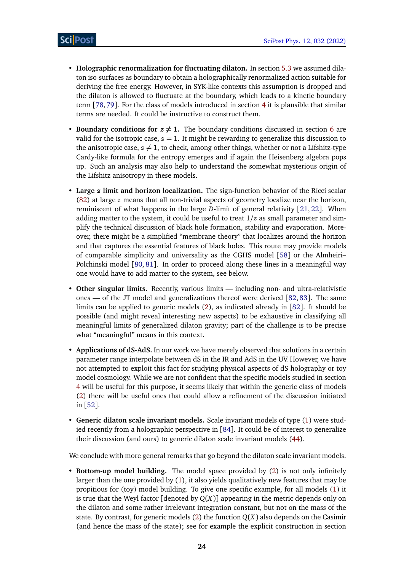- **Holographic renormalization for fluctuating dilaton.** In section [5.3](#page-17-0) we assumed dilaton iso-surfaces as boundary to obtain a holographically renormalized action suitable for deriving the free energy. However, in SYK-like contexts this assumption is dropped and the dilaton is allowed to fluctuate at the boundary, which leads to a kinetic boundary term [[78,](#page-32-6)[79](#page-32-7)]. For the class of models introduced in section [4](#page-10-1) it is plausible that similar terms are needed. It could be instructive to construct them.
- **Boundary conditions for**  $z \neq 1$ . The boundary conditions discussed in section [6](#page-20-0) are valid for the isotropic case,  $z = 1$ . It might be rewarding to generalize this discussion to the anisotropic case,  $z \neq 1$ , to check, among other things, whether or not a Lifshitz-type Cardy-like formula for the entropy emerges and if again the Heisenberg algebra pops up. Such an analysis may also help to understand the somewhat mysterious origin of the Lifshitz anisotropy in these models.
- **Large** *z* **limit and horizon localization.** The sign-function behavior of the Ricci scalar [\(82\)](#page-16-2) at large *z* means that all non-trivial aspects of geometry localize near the horizon, reminiscent of what happens in the large *D*-limit of general relativity [[21,](#page-29-1) [22](#page-29-2)]. When adding matter to the system, it could be useful to treat  $1/z$  as small parameter and simplify the technical discussion of black hole formation, stability and evaporation. Moreover, there might be a simplified "membrane theory" that localizes around the horizon and that captures the essential features of black holes. This route may provide models of comparable simplicity and universality as the CGHS model [[58](#page-31-1)] or the Almheiri– Polchinski model [[80,](#page-32-8) [81](#page-32-9)]. In order to proceed along these lines in a meaningful way one would have to add matter to the system, see below.
- **Other singular limits.** Recently, various limits including non- and ultra-relativistic ones — of the JT model and generalizations thereof were derived [[82,](#page-32-10) [83](#page-32-11)]. The same limits can be applied to generic models [\(2\)](#page-1-2), as indicated already in [[82](#page-32-10)]. It should be possible (and might reveal interesting new aspects) to be exhaustive in classifying all meaningful limits of generalized dilaton gravity; part of the challenge is to be precise what "meaningful" means in this context.
- **Applications of dS-AdS.** In our work we have merely observed that solutions in a certain parameter range interpolate between dS in the IR and AdS in the UV. However, we have not attempted to exploit this fact for studying physical aspects of dS holography or toy model cosmology. While we are not confident that the specific models studied in section [4](#page-10-1) will be useful for this purpose, it seems likely that within the generic class of models [\(2\)](#page-1-2) there will be useful ones that could allow a refinement of the discussion initiated in [[52](#page-30-14)].
- **Generic dilaton scale invariant models.** Scale invariant models of type [\(1\)](#page-1-3) were studied recently from a holographic perspective in [[84](#page-32-12)]. It could be of interest to generalize their discussion (and ours) to generic dilaton scale invariant models [\(44\)](#page-10-4).

We conclude with more general remarks that go beyond the dilaton scale invariant models.

• **Bottom-up model building.** The model space provided by [\(2\)](#page-1-2) is not only infinitely larger than the one provided by [\(1\)](#page-1-3), it also yields qualitatively new features that may be propitious for (toy) model building. To give one specific example, for all models [\(1\)](#page-1-3) it is true that the Weyl factor [denoted by *Q*(*X*)] appearing in the metric depends only on the dilaton and some rather irrelevant integration constant, but not on the mass of the state. By contrast, for generic models [\(2\)](#page-1-2) the function  $Q(X)$  also depends on the Casimir (and hence the mass of the state); see for example the explicit construction in section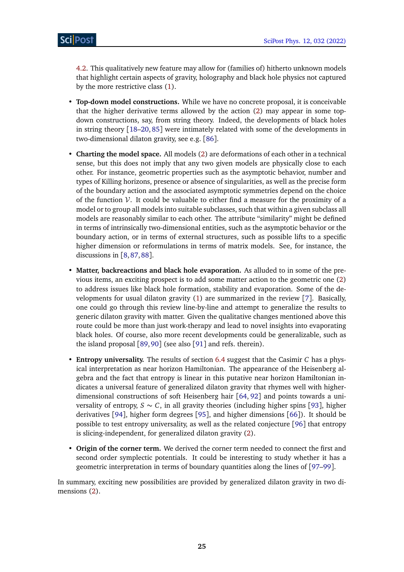[4.2.](#page-11-0) This qualitatively new feature may allow for (families of) hitherto unknown models that highlight certain aspects of gravity, holography and black hole physics not captured by the more restrictive class [\(1\)](#page-1-3).

- **Top-down model constructions.** While we have no concrete proposal, it is conceivable that the higher derivative terms allowed by the action [\(2\)](#page-1-2) may appear in some topdown constructions, say, from string theory. Indeed, the developments of black holes in string theory [[18](#page-28-11)[–20,](#page-29-0) [85](#page-32-13)] were intimately related with some of the developments in two-dimensional dilaton gravity, see e.g. [[86](#page-32-14)].
- **Charting the model space.** All models [\(2\)](#page-1-2) are deformations of each other in a technical sense, but this does not imply that any two given models are physically close to each other. For instance, geometric properties such as the asymptotic behavior, number and types of Killing horizons, presence or absence of singularities, as well as the precise form of the boundary action and the associated asymptotic symmetries depend on the choice of the function  $V$ . It could be valuable to either find a measure for the proximity of a model or to group all models into suitable subclasses, such that within a given subclass all models are reasonably similar to each other. The attribute "similarity" might be defined in terms of intrinsically two-dimensional entities, such as the asymptotic behavior or the boundary action, or in terms of external structures, such as possible lifts to a specific higher dimension or reformulations in terms of matrix models. See, for instance, the discussions in [[8,](#page-28-7)[87,](#page-32-15)[88](#page-32-16)].
- **Matter, backreactions and black hole evaporation.** As alluded to in some of the previous items, an exciting prospect is to add some matter action to the geometric one [\(2\)](#page-1-2) to address issues like black hole formation, stability and evaporation. Some of the developments for usual dilaton gravity [\(1\)](#page-1-3) are summarized in the review [[7](#page-28-6)]. Basically, one could go through this review line-by-line and attempt to generalize the results to generic dilaton gravity with matter. Given the qualitative changes mentioned above this route could be more than just work-therapy and lead to novel insights into evaporating black holes. Of course, also more recent developments could be generalizable, such as the island proposal [[89,](#page-32-17)[90](#page-33-0)] (see also [[91](#page-33-1)] and refs. therein).
- **Entropy universality.** The results of section [6.4](#page-21-1) suggest that the Casimir *C* has a physical interpretation as near horizon Hamiltonian. The appearance of the Heisenberg algebra and the fact that entropy is linear in this putative near horizon Hamiltonian indicates a universal feature of generalized dilaton gravity that rhymes well with higherdimensional constructions of soft Heisenberg hair [[64,](#page-31-7) [92](#page-33-2)] and points towards a universality of entropy,  $S \sim C$ , in all gravity theories (including higher spins [[93](#page-33-3)], higher derivatives [[94](#page-33-4)], higher form degrees [[95](#page-33-5)], and higher dimensions [[66](#page-31-9)]). It should be possible to test entropy universality, as well as the related conjecture [[96](#page-33-6)] that entropy is slicing-independent, for generalized dilaton gravity [\(2\)](#page-1-2).
- **Origin of the corner term.** We derived the corner term needed to connect the first and second order symplectic potentials. It could be interesting to study whether it has a geometric interpretation in terms of boundary quantities along the lines of [[97](#page-33-7)[–99](#page-33-8)].

In summary, exciting new possibilities are provided by generalized dilaton gravity in two dimensions [\(2\)](#page-1-2).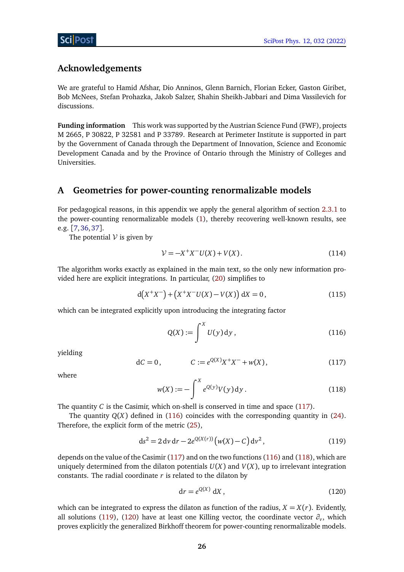## **Acknowledgements**

We are grateful to Hamid Afshar, Dio Anninos, Glenn Barnich, Florian Ecker, Gaston Giribet, Bob McNees, Stefan Prohazka, Jakob Salzer, Shahin Sheikh-Jabbari and Dima Vassilevich for discussions.

**Funding information** This work was supported by the Austrian Science Fund (FWF), projects M 2665, P 30822, P 32581 and P 33789. Research at Perimeter Institute is supported in part by the Government of Canada through the Department of Innovation, Science and Economic Development Canada and by the Province of Ontario through the Ministry of Colleges and Universities.

## <span id="page-25-0"></span>**A Geometries for power-counting renormalizable models**

For pedagogical reasons, in this appendix we apply the general algorithm of section [2.3.1](#page-6-1) to the power-counting renormalizable models [\(1\)](#page-1-3), thereby recovering well-known results, see e.g. [[7,](#page-28-6)[36,](#page-29-16)[37](#page-29-17)].

The potential  $V$  is given by

$$
\mathcal{V} = -X^+X^-U(X) + V(X). \tag{114}
$$

The algorithm works exactly as explained in the main text, so the only new information provided here are explicit integrations. In particular, [\(20\)](#page-6-8) simplifies to

$$
d(X^+X^-) + (X^+X^-U(X) - V(X)) dX = 0, \qquad (115)
$$

which can be integrated explicitly upon introducing the integrating factor

<span id="page-25-2"></span>
$$
Q(X) := \int^X U(y) \, \mathrm{d}y \,,\tag{116}
$$

<span id="page-25-1"></span>yielding

$$
dC = 0, \t C := e^{Q(X)}X^{+}X^{-} + w(X), \t (117)
$$

<span id="page-25-3"></span>where

<span id="page-25-4"></span>
$$
w(X) := -\int^{X} e^{Q(y)} V(y) \, dy. \tag{118}
$$

The quantity *C* is the Casimir, which on-shell is conserved in time and space [\(117\)](#page-25-1).

The quantity  $Q(X)$  defined in [\(116\)](#page-25-2) coincides with the corresponding quantity in [\(24\)](#page-7-2). Therefore, the explicit form of the metric [\(25\)](#page-7-3),

$$
ds^{2} = 2 dv dr - 2e^{Q(X(r))}(w(X) - C) dv^{2},
$$
\n(119)

depends on the value of the Casimir [\(117\)](#page-25-1) and on the two functions [\(116\)](#page-25-2) and [\(118\)](#page-25-3), which are uniquely determined from the dilaton potentials  $U(X)$  and  $V(X)$ , up to irrelevant integration constants. The radial coordinate *r* is related to the dilaton by

<span id="page-25-5"></span>
$$
\mathrm{d}r = e^{Q(X)} \, \mathrm{d}X \,, \tag{120}
$$

which can be integrated to express the dilaton as function of the radius,  $X = X(r)$ . Evidently, all solutions [\(119\)](#page-25-4), [\(120\)](#page-25-5) have at least one Killing vector, the coordinate vector  $\partial_\nu$ , which proves explicitly the generalized Birkhoff theorem for power-counting renormalizable models.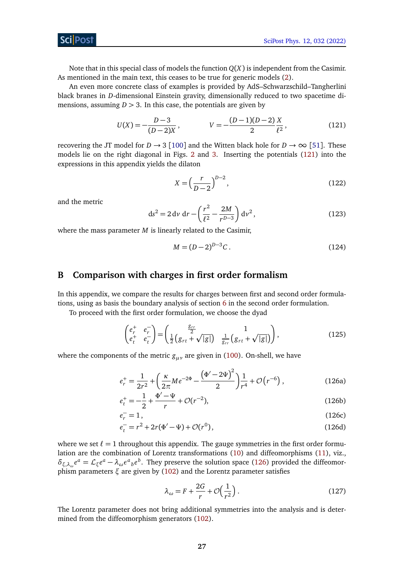**ScilPost** 

Note that in this special class of models the function *Q*(*X*) is independent from the Casimir. As mentioned in the main text, this ceases to be true for generic models [\(2\)](#page-1-2).

An even more concrete class of examples is provided by AdS–Schwarzschild–Tangherlini black branes in *D*-dimensional Einstein gravity, dimensionally reduced to two spacetime dimensions, assuming  $D > 3$ . In this case, the potentials are given by

$$
U(X) = -\frac{D-3}{(D-2)X}, \qquad V = -\frac{(D-1)(D-2)}{2}\frac{X}{\ell^2}, \qquad (121)
$$

recovering the JT model for  $D \to 3$  [[100](#page-33-9)] and the Witten black hole for  $D \to \infty$  [[51](#page-30-13)]. These models lie on the right diagonal in Figs. [2](#page-13-1) and [3.](#page-15-0) Inserting the potentials [\(121\)](#page-26-1) into the expressions in this appendix yields the dilaton

<span id="page-26-1"></span>
$$
X = \left(\frac{r}{D-2}\right)^{D-2},\tag{122}
$$

and the metric

$$
ds^{2} = 2 dv dr - \left(\frac{r^{2}}{\ell^{2}} - \frac{2M}{r^{D-3}}\right) dv^{2},
$$
 (123)

where the mass parameter *M* is linearly related to the Casimir,

<span id="page-26-2"></span>
$$
M = (D - 2)^{D - 3}C. \tag{124}
$$

### <span id="page-26-0"></span>**B Comparison with charges in first order formalism**

In this appendix, we compare the results for charges between first and second order formulations, using as basis the boundary analysis of section [6](#page-20-0) in the second order formulation.

To proceed with the first order formulation, we choose the dyad

$$
\begin{pmatrix} e_r^+ & e_r^- \ e_t^+ & e_t^- \end{pmatrix} = \begin{pmatrix} \frac{g_{rr}}{2} & 1 \\ \frac{1}{2} \left( g_{rt} + \sqrt{|g|} \right) & \frac{1}{g_{rr}} \left( g_{rt} + \sqrt{|g|} \right) \end{pmatrix},
$$
(125)

where the components of the metric *gµν* are given in [\(100\)](#page-20-4). On-shell, we have

$$
e_r^+ = \frac{1}{2r^2} + \left(\frac{\kappa}{2\pi}Me^{-2\Phi} - \frac{\left(\Phi' - 2\Psi\right)^2}{2}\right)\frac{1}{r^4} + \mathcal{O}\left(r^{-6}\right),\tag{126a}
$$

$$
e_t^+ = -\frac{1}{2} + \frac{\Phi' - \Psi}{r} + \mathcal{O}(r^{-2}),\tag{126b}
$$

$$
e_r^- = 1,\tag{126c}
$$

$$
e_t^- = r^2 + 2r(\Phi' - \Psi) + \mathcal{O}(r^0),\tag{126d}
$$

where we set  $\ell = 1$  throughout this appendix. The gauge symmetries in the first order formulation are the combination of Lorentz transformations [\(10\)](#page-4-2) and diffeomorphisms [\(11\)](#page-4-3), viz.,  $\delta_{\xi,\lambda_\omega}e^a = \mathcal{L}_{\xi}e^a - \lambda_\omega e^a{}_b e^b$ . They preserve the solution space [\(126\)](#page-26-2) provided the diffeomorphism parameters *ξ* are given by [\(102\)](#page-20-5) and the Lorentz parameter satisfies

$$
\lambda_{\omega} = F + \frac{2G}{r} + \mathcal{O}\left(\frac{1}{r^2}\right). \tag{127}
$$

The Lorentz parameter does not bring additional symmetries into the analysis and is determined from the diffeomorphism generators [\(102\)](#page-20-5).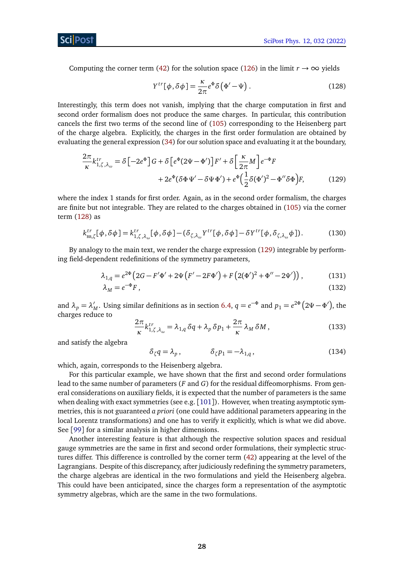Computing the corner term [\(42\)](#page-10-3) for the solution space [\(126\)](#page-26-2) in the limit  $r \to \infty$  yields

<span id="page-27-2"></span><span id="page-27-1"></span>
$$
Y^{tr}[\phi, \delta\phi] = \frac{\kappa}{2\pi} e^{\Phi} \delta(\Phi' - \Psi). \qquad (128)
$$

Interestingly, this term does not vanish, implying that the charge computation in first and second order formalism does not produce the same charges. In particular, this contribution cancels the first two terms of the second line of [\(105\)](#page-21-3) corresponding to the Heisenberg part of the charge algebra. Explicitly, the charges in the first order formulation are obtained by evaluating the general expression [\(34\)](#page-9-5) for our solution space and evaluating it at the boundary,

$$
\frac{2\pi}{\kappa} k_{1,\zeta,\lambda_{\omega}}^{tr} = \delta \left[ -2e^{\Phi} \right] G + \delta \left[ e^{\Phi} (2\Psi - \Phi') \right] F' + \delta \left[ \frac{\kappa}{2\pi} M \right] e^{-\Phi} F \n+ 2e^{\Phi} (\delta \Phi \Psi' - \delta \Psi \Phi') + e^{\Phi} \left( \frac{1}{2} \delta (\Phi')^2 - \Phi'' \delta \Phi \right) F,
$$
\n(129)

where the index 1 stands for first order. Again, as in the second order formalism, the charges are finite but not integrable. They are related to the charges obtained in [\(105\)](#page-21-3) via the corner term [\(128\)](#page-27-1) as

$$
k_{\text{BB},\zeta}^{tr}[\phi,\delta\phi] = k_{1,\zeta,\lambda_{\omega}}^{tr}[\phi,\delta\phi] - (\delta_{\zeta,\lambda_{\omega}}Y^{tr}[\phi,\delta\phi] - \delta Y^{tr}[\phi,\delta_{\zeta,\lambda_{\omega}}\phi]).
$$
 (130)

By analogy to the main text, we render the charge expression [\(129\)](#page-27-2) integrable by performing field-dependent redefinitions of the symmetry parameters,

$$
\lambda_{1,q} = e^{2\Phi} \left( 2G - F' \Phi' + 2\Psi \left( F' - 2F \Phi' \right) + F \left( 2(\Phi')^2 + \Phi'' - 2\Psi' \right) \right),\tag{131}
$$

$$
\lambda_M = e^{-\Phi} F \,, \tag{132}
$$

and  $\lambda_p = \lambda'_p$ *M*. Using similar definitions as in section [6.4,](#page-21-1)  $q = e^{-\Phi}$  and  $p_1 = e^{2\Phi}(2\Psi - \Phi')$ , the charges reduce to

<span id="page-27-0"></span>
$$
\frac{2\pi}{\kappa}k_{1,\zeta,\lambda_{\omega}}^{tr} = \lambda_{1,q}\,\delta q + \lambda_p\,\delta p_1 + \frac{2\pi}{\kappa}\,\lambda_M\,\delta M\,,\tag{133}
$$

and satisfy the algebra

$$
\delta_{\zeta} q = \lambda_p, \qquad \qquad \delta_{\zeta} p_1 = -\lambda_{1,q}, \qquad (134)
$$

which, again, corresponds to the Heisenberg algebra.

For this particular example, we have shown that the first and second order formulations lead to the same number of parameters (*F* and *G*) for the residual diffeomorphisms. From general considerations on auxiliary fields, it is expected that the number of parameters is the same when dealing with exact symmetries (see e.g. [[101](#page-33-10)]). However, when treating asymptotic symmetries, this is not guaranteed *a priori* (one could have additional parameters appearing in the local Lorentz transformations) and one has to verify it explicitly, which is what we did above. See [[99](#page-33-8)] for a similar analysis in higher dimensions.

Another interesting feature is that although the respective solution spaces and residual gauge symmetries are the same in first and second order formulations, their symplectic structures differ. This difference is controlled by the corner term [\(42\)](#page-10-3) appearing at the level of the Lagrangians. Despite of this discrepancy, after judiciously redefining the symmetry parameters, the charge algebras are identical in the two formulations and yield the Heisenberg algebra. This could have been anticipated, since the charges form a representation of the asymptotic symmetry algebras, which are the same in the two formulations.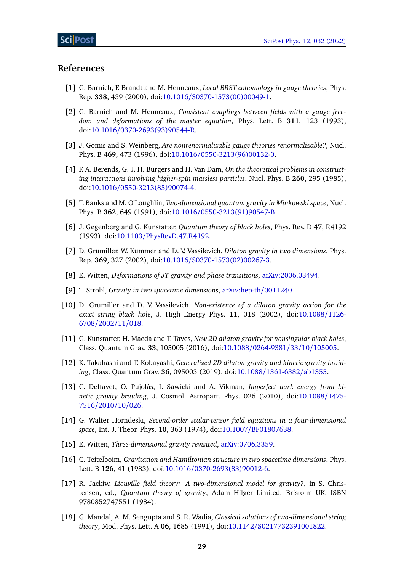### **References**

- <span id="page-28-0"></span>[1] G. Barnich, F. Brandt and M. Henneaux, *Local BRST cohomology in gauge theories*, Phys. Rep. **338**, 439 (2000), doi:10.1016/[S0370-1573\(00\)00049-1.](https://doi.org/10.1016/S0370-1573(00)00049-1)
- <span id="page-28-1"></span>[2] G. Barnich and M. Henneaux, *Consistent couplings between fields with a gauge freedom and deformations of the master equation*, Phys. Lett. B **311**, 123 (1993), doi:10.1016/[0370-2693\(93\)90544-R.](https://doi.org/10.1016/0370-2693(93)90544-R)
- <span id="page-28-2"></span>[3] J. Gomis and S. Weinberg, *Are nonrenormalizable gauge theories renormalizable?*, Nucl. Phys. B **469**, 473 (1996), doi:10.1016/[0550-3213\(96\)00132-0.](https://doi.org/10.1016/0550-3213(96)00132-0)
- <span id="page-28-3"></span>[4] F. A. Berends, G. J. H. Burgers and H. Van Dam, *On the theoretical problems in constructing interactions involving higher-spin massless particles*, Nucl. Phys. B **260**, 295 (1985), doi:10.1016/[0550-3213\(85\)90074-4.](https://doi.org/10.1016/0550-3213(85)90074-4)
- <span id="page-28-4"></span>[5] T. Banks and M. O'Loughlin, *Two-dimensional quantum gravity in Minkowski space*, Nucl. Phys. B **362**, 649 (1991), doi:10.1016/[0550-3213\(91\)90547-B.](https://doi.org/10.1016/0550-3213(91)90547-B)
- <span id="page-28-5"></span>[6] J. Gegenberg and G. Kunstatter, *Quantum theory of black holes*, Phys. Rev. D **47**, R4192 (1993), doi:10.1103/[PhysRevD.47.R4192.](https://doi.org/10.1103/PhysRevD.47.R4192)
- <span id="page-28-6"></span>[7] D. Grumiller, W. Kummer and D. V. Vassilevich, *Dilaton gravity in two dimensions*, Phys. Rep. **369**, 327 (2002), doi:10.1016/[S0370-1573\(02\)00267-3.](https://doi.org/10.1016/S0370-1573(02)00267-3)
- <span id="page-28-7"></span>[8] E. Witten, *Deformations of JT gravity and phase transitions*, [arXiv:2006.03494.](https://arxiv.org/abs/2006.03494)
- <span id="page-28-12"></span>[9] T. Strobl, *Gravity in two spacetime dimensions*, [arXiv:hep-th](https://arxiv.org/abs/hep-th/0011240)/0011240.
- <span id="page-28-16"></span>[10] D. Grumiller and D. V. Vassilevich, *Non-existence of a dilaton gravity action for the exact string black hole*, J. High Energy Phys. **11**, 018 (2002), doi[:10.1088](https://doi.org/10.1088/1126-6708/2002/11/018)/1126- [6708](https://doi.org/10.1088/1126-6708/2002/11/018)/2002/11/018.
- [11] G. Kunstatter, H. Maeda and T. Taves, *New 2D dilaton gravity for nonsingular black holes*, Class. Quantum Grav. **33**, 105005 (2016), doi:10.1088/[0264-9381](https://doi.org/10.1088/0264-9381/33/10/105005)/33/10/105005.
- <span id="page-28-13"></span>[12] K. Takahashi and T. Kobayashi, *Generalized 2D dilaton gravity and kinetic gravity braiding*, Class. Quantum Grav. **36**, 095003 (2019), doi:10.1088/[1361-6382](https://doi.org/10.1088/1361-6382/ab1355)/ab1355.
- <span id="page-28-14"></span>[13] C. Deffayet, O. Pujolàs, I. Sawicki and A. Vikman, *Imperfect dark energy from kinetic gravity braiding*, J. Cosmol. Astropart. Phys. 026 (2010), doi[:10.1088](https://doi.org/10.1088/1475-7516/2010/10/026)/1475- [7516](https://doi.org/10.1088/1475-7516/2010/10/026)/2010/10/026.
- <span id="page-28-15"></span>[14] G. Walter Horndeski, *Second-order scalar-tensor field equations in a four-dimensional space*, Int. J. Theor. Phys. **10**, 363 (1974), doi:10.1007/[BF01807638.](https://doi.org/10.1007/BF01807638)
- <span id="page-28-8"></span>[15] E. Witten, *Three-dimensional gravity revisited*, [arXiv:0706.3359.](https://arxiv.org/abs/0706.3359)
- <span id="page-28-9"></span>[16] C. Teitelboim, *Gravitation and Hamiltonian structure in two spacetime dimensions*, Phys. Lett. B **126**, 41 (1983), doi:10.1016/[0370-2693\(83\)90012-6.](https://doi.org/10.1016/0370-2693(83)90012-6)
- <span id="page-28-10"></span>[17] R. Jackiw, *Liouville field theory: A two-dimensional model for gravity?*, in S. Christensen, ed., *Quantum theory of gravity*, Adam Hilger Limited, Bristolm UK, ISBN 9780852747551 (1984).
- <span id="page-28-11"></span>[18] G. Mandal, A. M. Sengupta and S. R. Wadia, *Classical solutions of two-dimensional string theory*, Mod. Phys. Lett. A **06**, 1685 (1991), doi:10.1142/[S0217732391001822.](https://doi.org/10.1142/S0217732391001822)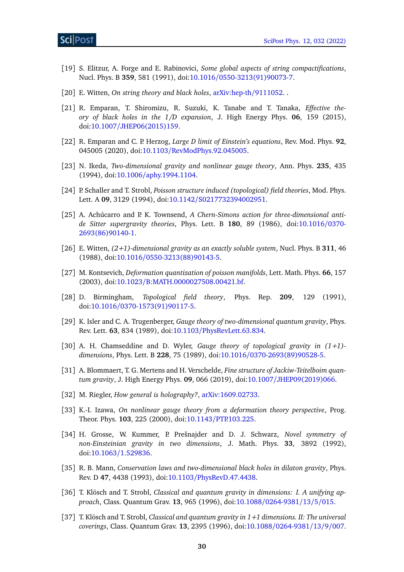- [19] S. Elitzur, A. Forge and E. Rabinovici, *Some global aspects of string compactifications*, Nucl. Phys. B **359**, 581 (1991), doi:10.1016/[0550-3213\(91\)90073-7.](https://doi.org/10.1016/0550-3213(91)90073-7)
- <span id="page-29-0"></span>[20] E. Witten, *On string theory and black holes*, [arXiv:hep-th](https://arxiv.org/abs/hep-th/9111052)/9111052. .
- <span id="page-29-1"></span>[21] R. Emparan, T. Shiromizu, R. Suzuki, K. Tanabe and T. Tanaka, *Effective theory of black holes in the 1/D expansion*, J. High Energy Phys. **06**, 159 (2015), doi:10.1007/[JHEP06\(2015\)159.](https://doi.org/10.1007/JHEP06(2015)159)
- <span id="page-29-2"></span>[22] R. Emparan and C. P. Herzog, *Large D limit of Einstein's equations*, Rev. Mod. Phys. **92**, 045005 (2020), doi:10.1103/[RevModPhys.92.045005.](https://doi.org/10.1103/RevModPhys.92.045005)
- <span id="page-29-3"></span>[23] N. Ikeda, *Two-dimensional gravity and nonlinear gauge theory*, Ann. Phys. **235**, 435 (1994), doi:10.1006/[aphy.1994.1104.](https://doi.org/10.1006/aphy.1994.1104)
- <span id="page-29-4"></span>[24] P. Schaller and T. Strobl, *Poisson structure induced (topological) field theories*, Mod. Phys. Lett. A **09**, 3129 (1994), doi:10.1142/[S0217732394002951.](https://doi.org/10.1142/S0217732394002951)
- <span id="page-29-5"></span>[25] A. Achúcarro and P. K. Townsend, *A Chern-Simons action for three-dimensional antide Sitter supergravity theories*, Phys. Lett. B **180**, 89 (1986), doi[:10.1016](https://doi.org/10.1016/0370-2693(86)90140-1)/0370- [2693\(86\)90140-1.](https://doi.org/10.1016/0370-2693(86)90140-1)
- <span id="page-29-6"></span>[26] E. Witten, *(2+1)-dimensional gravity as an exactly soluble system*, Nucl. Phys. B **311**, 46 (1988), doi:10.1016/[0550-3213\(88\)90143-5.](https://doi.org/10.1016/0550-3213(88)90143-5)
- <span id="page-29-7"></span>[27] M. Kontsevich, *Deformation quantization of poisson manifolds*, Lett. Math. Phys. **66**, 157 (2003), doi:10.1023/[B:MATH.0000027508.00421.bf.](https://doi.org/10.1023/B:MATH.0000027508.00421.bf)
- <span id="page-29-8"></span>[28] D. Birmingham, *Topological field theory*, Phys. Rep. **209**, 129 (1991), doi:10.1016/[0370-1573\(91\)90117-5.](https://doi.org/10.1016/0370-1573(91)90117-5)
- <span id="page-29-9"></span>[29] K. Isler and C. A. Trugenberger, *Gauge theory of two-dimensional quantum gravity*, Phys. Rev. Lett. **63**, 834 (1989), doi:10.1103/[PhysRevLett.63.834.](https://doi.org/10.1103/PhysRevLett.63.834)
- <span id="page-29-10"></span>[30] A. H. Chamseddine and D. Wyler, *Gauge theory of topological gravity in (1+1) dimensions*, Phys. Lett. B **228**, 75 (1989), doi:10.1016/[0370-2693\(89\)90528-5.](https://doi.org/10.1016/0370-2693(89)90528-5)
- <span id="page-29-11"></span>[31] A. Blommaert, T. G. Mertens and H. Verschelde, *Fine structure of Jackiw-Teitelboim quantum gravity*, J. High Energy Phys. **09**, 066 (2019), doi:10.1007/[JHEP09\(2019\)066.](https://doi.org/10.1007/JHEP09(2019)066)
- <span id="page-29-12"></span>[32] M. Riegler, *How general is holography?*, [arXiv:1609.02733.](https://arxiv.org/abs/1609.02733)
- <span id="page-29-13"></span>[33] K.-I. Izawa, *On nonlinear gauge theory from a deformation theory perspective*, Prog. Theor. Phys. **103**, 225 (2000), doi:10.1143/[PTP.103.225.](https://doi.org/10.1143/PTP.103.225)
- <span id="page-29-14"></span>[34] H. Grosse, W. Kummer, P. Prešnajder and D. J. Schwarz, *Novel symmetry of non-Einsteinian gravity in two dimensions*, J. Math. Phys. **33**, 3892 (1992), doi:10.1063/[1.529836.](https://doi.org/10.1063/1.529836)
- <span id="page-29-15"></span>[35] R. B. Mann, *Conservation laws and two-dimensional black holes in dilaton gravity*, Phys. Rev. D **47**, 4438 (1993), doi:10.1103/[PhysRevD.47.4438.](https://doi.org/10.1103/PhysRevD.47.4438)
- <span id="page-29-16"></span>[36] T. Klösch and T. Strobl, *Classical and quantum gravity in dimensions: I. A unifying approach*, Class. Quantum Grav. **13**, 965 (1996), doi:10.1088/[0264-9381](https://doi.org/10.1088/0264-9381/13/5/015)/13/5/015.
- <span id="page-29-17"></span>[37] T. Klösch and T. Strobl, *Classical and quantum gravity in 1+1 dimensions. II: The universal coverings*, Class. Quantum Grav. **13**, 2395 (1996), doi:10.1088/[0264-9381](https://doi.org/10.1088/0264-9381/13/9/007)/13/9/007.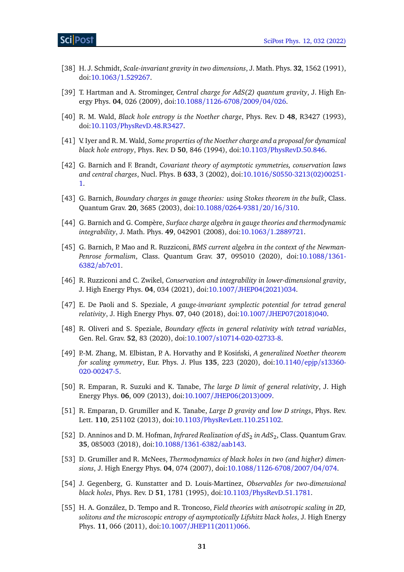- <span id="page-30-0"></span>[38] H. J. Schmidt, *Scale-invariant gravity in two dimensions*, J. Math. Phys. **32**, 1562 (1991), doi:10.1063/[1.529267.](https://doi.org/10.1063/1.529267)
- <span id="page-30-1"></span>[39] T. Hartman and A. Strominger, *Central charge for AdS(2) quantum gravity*, J. High Energy Phys. **04**, 026 (2009), doi:10.1088/[1126-6708](https://doi.org/10.1088/1126-6708/2009/04/026)/2009/04/026.
- <span id="page-30-2"></span>[40] R. M. Wald, *Black hole entropy is the Noether charge*, Phys. Rev. D **48**, R3427 (1993), doi:10.1103/[PhysRevD.48.R3427.](https://doi.org/10.1103/PhysRevD.48.R3427)
- <span id="page-30-7"></span>[41] V. Iyer and R. M. Wald, *Some properties of the Noether charge and a proposal for dynamical black hole entropy*, Phys. Rev. D **50**, 846 (1994), doi:10.1103/[PhysRevD.50.846.](https://doi.org/10.1103/PhysRevD.50.846)
- <span id="page-30-5"></span>[42] G. Barnich and F. Brandt, *Covariant theory of asymptotic symmetries, conservation laws and central charges*, Nucl. Phys. B **633**, 3 (2002), doi:10.1016/[S0550-3213\(02\)00251-](https://doi.org/10.1016/S0550-3213(02)00251-1) [1.](https://doi.org/10.1016/S0550-3213(02)00251-1)
- <span id="page-30-6"></span>[43] G. Barnich, *Boundary charges in gauge theories: using Stokes theorem in the bulk*, Class. Quantum Grav. **20**, 3685 (2003), doi:10.1088/[0264-9381](https://doi.org/10.1088/0264-9381/20/16/310)/20/16/310.
- <span id="page-30-3"></span>[44] G. Barnich and G. Compère, *Surface charge algebra in gauge theories and thermodynamic integrability*, J. Math. Phys. **49**, 042901 (2008), doi:10.1063/[1.2889721.](https://doi.org/10.1063/1.2889721)
- <span id="page-30-4"></span>[45] G. Barnich, P. Mao and R. Ruzziconi, *BMS current algebra in the context of the Newman-Penrose formalism*, Class. Quantum Grav. **37**, 095010 (2020), doi[:10.1088](https://doi.org/10.1088/1361-6382/ab7c01)/1361- 6382/[ab7c01.](https://doi.org/10.1088/1361-6382/ab7c01)
- <span id="page-30-8"></span>[46] R. Ruzziconi and C. Zwikel, *Conservation and integrability in lower-dimensional gravity*, J. High Energy Phys. **04**, 034 (2021), doi:10.1007/[JHEP04\(2021\)034.](https://doi.org/10.1007/JHEP04(2021)034)
- <span id="page-30-9"></span>[47] E. De Paoli and S. Speziale, *A gauge-invariant symplectic potential for tetrad general relativity*, J. High Energy Phys. **07**, 040 (2018), doi:10.1007/[JHEP07\(2018\)040.](https://doi.org/10.1007/JHEP07(2018)040)
- <span id="page-30-10"></span>[48] R. Oliveri and S. Speziale, *Boundary effects in general relativity with tetrad variables*, Gen. Rel. Grav. **52**, 83 (2020), doi:10.1007/[s10714-020-02733-8.](https://doi.org/10.1007/s10714-020-02733-8)
- <span id="page-30-11"></span>[49] P.-M. Zhang, M. Elbistan, P. A. Horvathy and P. Kosinski, ´ *A generalized Noether theorem for scaling symmetry*, Eur. Phys. J. Plus **135**, 223 (2020), doi[:10.1140](https://doi.org/10.1140/epjp/s13360-020-00247-5)/epjp/s13360- [020-00247-5.](https://doi.org/10.1140/epjp/s13360-020-00247-5)
- <span id="page-30-12"></span>[50] R. Emparan, R. Suzuki and K. Tanabe, *The large D limit of general relativity*, J. High Energy Phys. **06**, 009 (2013), doi:10.1007/[JHEP06\(2013\)009.](https://doi.org/10.1007/JHEP06(2013)009)
- <span id="page-30-13"></span>[51] R. Emparan, D. Grumiller and K. Tanabe, *Large D gravity and low D strings*, Phys. Rev. Lett. **110**, 251102 (2013), doi:10.1103/[PhysRevLett.110.251102.](https://doi.org/10.1103/PhysRevLett.110.251102)
- <span id="page-30-14"></span>[52] D. Anninos and D. M. Hofman, *Infrared Realization of*  $dS_2$  *in Ad* $S_2$ *, Class. Quantum Grav.* **35**, 085003 (2018), doi:10.1088/[1361-6382](https://doi.org/10.1088/1361-6382/aab143)/aab143.
- <span id="page-30-15"></span>[53] D. Grumiller and R. McNees, *Thermodynamics of black holes in two (and higher) dimensions*, J. High Energy Phys. **04**, 074 (2007), doi:10.1088/[1126-6708](https://doi.org/10.1088/1126-6708/2007/04/074)/2007/04/074.
- <span id="page-30-16"></span>[54] J. Gegenberg, G. Kunstatter and D. Louis-Martinez, *Observables for two-dimensional black holes*, Phys. Rev. D **51**, 1781 (1995), doi:10.1103/[PhysRevD.51.1781.](https://doi.org/10.1103/PhysRevD.51.1781)
- <span id="page-30-17"></span>[55] H. A. González, D. Tempo and R. Troncoso, *Field theories with anisotropic scaling in 2D, solitons and the microscopic entropy of asymptotically Lifshitz black holes*, J. High Energy Phys. **11**, 066 (2011), doi:10.1007/[JHEP11\(2011\)066.](https://doi.org/10.1007/JHEP11(2011)066)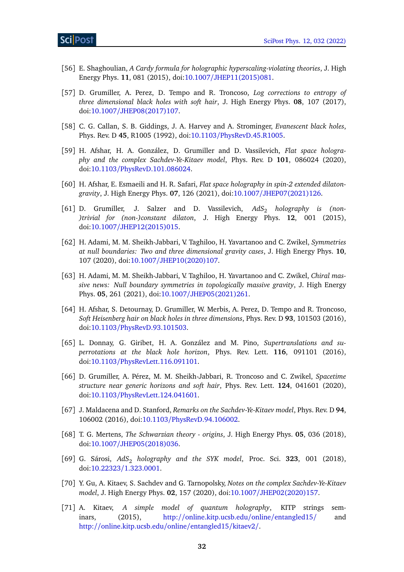- [56] E. Shaghoulian, *A Cardy formula for holographic hyperscaling-violating theories*, J. High Energy Phys. **11**, 081 (2015), doi:10.1007/[JHEP11\(2015\)081.](https://doi.org/10.1007/JHEP11(2015)081)
- <span id="page-31-0"></span>[57] D. Grumiller, A. Perez, D. Tempo and R. Troncoso, *Log corrections to entropy of three dimensional black holes with soft hair*, J. High Energy Phys. **08**, 107 (2017), doi:10.1007/[JHEP08\(2017\)107.](https://doi.org/10.1007/JHEP08(2017)107)
- <span id="page-31-1"></span>[58] C. G. Callan, S. B. Giddings, J. A. Harvey and A. Strominger, *Evanescent black holes*, Phys. Rev. D **45**, R1005 (1992), doi:10.1103/[PhysRevD.45.R1005.](https://doi.org/10.1103/PhysRevD.45.R1005)
- <span id="page-31-2"></span>[59] H. Afshar, H. A. González, D. Grumiller and D. Vassilevich, *Flat space holography and the complex Sachdev-Ye-Kitaev model*, Phys. Rev. D **101**, 086024 (2020), doi:10.1103/[PhysRevD.101.086024.](https://doi.org/10.1103/PhysRevD.101.086024)
- <span id="page-31-3"></span>[60] H. Afshar, E. Esmaeili and H. R. Safari, *Flat space holography in spin-2 extended dilatongravity*, J. High Energy Phys. **07**, 126 (2021), doi:10.1007/[JHEP07\(2021\)126.](https://doi.org/10.1007/JHEP07(2021)126)
- <span id="page-31-4"></span>[61] D. Grumiller, J. Salzer and D. Vassilevich, AdS<sub>2</sub> *holography is (non-)trivial for (non-)constant dilaton*, J. High Energy Phys. **12**, 001 (2015), doi:10.1007/[JHEP12\(2015\)015.](https://doi.org/10.1007/JHEP12(2015)015)
- <span id="page-31-5"></span>[62] H. Adami, M. M. Sheikh-Jabbari, V. Taghiloo, H. Yavartanoo and C. Zwikel, *Symmetries at null boundaries: Two and three dimensional gravity cases*, J. High Energy Phys. **10**, 107 (2020), doi:10.1007/[JHEP10\(2020\)107.](https://doi.org/10.1007/JHEP10(2020)107)
- <span id="page-31-6"></span>[63] H. Adami, M. M. Sheikh-Jabbari, V. Taghiloo, H. Yavartanoo and C. Zwikel, *Chiral massive news: Null boundary symmetries in topologically massive gravity*, J. High Energy Phys. **05**, 261 (2021), doi:10.1007/[JHEP05\(2021\)261.](https://doi.org/10.1007/JHEP05(2021)261)
- <span id="page-31-7"></span>[64] H. Afshar, S. Detournay, D. Grumiller, W. Merbis, A. Perez, D. Tempo and R. Troncoso, *Soft Heisenberg hair on black holes in three dimensions*, Phys. Rev. D **93**, 101503 (2016), doi:10.1103/[PhysRevD.93.101503.](https://doi.org/10.1103/PhysRevD.93.101503)
- <span id="page-31-8"></span>[65] L. Donnay, G. Giribet, H. A. González and M. Pino, *Supertranslations and superrotations at the black hole horizon*, Phys. Rev. Lett. **116**, 091101 (2016), doi:10.1103/[PhysRevLett.116.091101.](https://doi.org/10.1103/PhysRevLett.116.091101)
- <span id="page-31-9"></span>[66] D. Grumiller, A. Pérez, M. M. Sheikh-Jabbari, R. Troncoso and C. Zwikel, *Spacetime structure near generic horizons and soft hair*, Phys. Rev. Lett. **124**, 041601 (2020), doi:10.1103/[PhysRevLett.124.041601.](https://doi.org/10.1103/PhysRevLett.124.041601)
- <span id="page-31-10"></span>[67] J. Maldacena and D. Stanford, *Remarks on the Sachdev-Ye-Kitaev model*, Phys. Rev. D **94**, 106002 (2016), doi:10.1103/[PhysRevD.94.106002.](https://doi.org/10.1103/PhysRevD.94.106002)
- <span id="page-31-11"></span>[68] T. G. Mertens, *The Schwarzian theory - origins*, J. High Energy Phys. **05**, 036 (2018), doi:10.1007/[JHEP05\(2018\)036.](https://doi.org/10.1007/JHEP05(2018)036)
- [69] G. Sárosi, AdS<sub>2</sub> holography and the SYK model, Proc. Sci. 323, 001 (2018), doi:10.22323/[1.323.0001.](https://doi.org/10.22323/1.323.0001)
- <span id="page-31-12"></span>[70] Y. Gu, A. Kitaev, S. Sachdev and G. Tarnopolsky, *Notes on the complex Sachdev-Ye-Kitaev model*, J. High Energy Phys. **02**, 157 (2020), doi:10.1007/[JHEP02\(2020\)157.](https://doi.org/10.1007/JHEP02(2020)157)
- <span id="page-31-13"></span>[71] A. Kitaev, *A simple model of quantum holography*, KITP strings seminars, (2015), http://[online.kitp.ucsb.edu](http://online.kitp.ucsb.edu/online/entangled15/)/online/entangled15/ and http://[online.kitp.ucsb.edu](http://online.kitp.ucsb.edu/online/entangled15/kitaev2/)/online/entangled15/kitaev2/.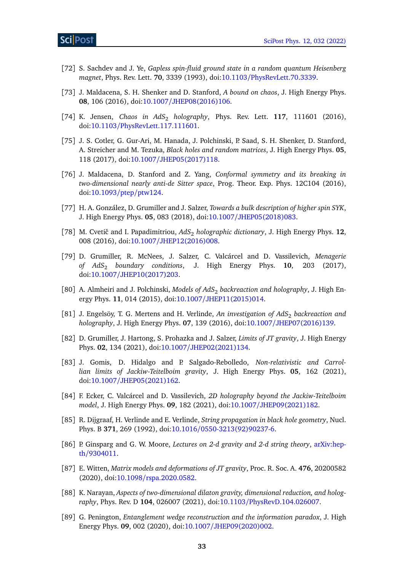- <span id="page-32-0"></span>[72] S. Sachdev and J. Ye, *Gapless spin-fluid ground state in a random quantum Heisenberg magnet*, Phys. Rev. Lett. **70**, 3339 (1993), doi:10.1103/[PhysRevLett.70.3339.](https://doi.org/10.1103/PhysRevLett.70.3339)
- <span id="page-32-1"></span>[73] J. Maldacena, S. H. Shenker and D. Stanford, *A bound on chaos*, J. High Energy Phys. **08**, 106 (2016), doi:10.1007/[JHEP08\(2016\)106.](https://doi.org/10.1007/JHEP08(2016)106)
- <span id="page-32-2"></span>[74] K. Jensen, *Chaos in AdS<sub>2</sub> holography*, Phys. Rev. Lett. **117**, **111601** (2016), doi:10.1103/[PhysRevLett.117.111601.](https://doi.org/10.1103/PhysRevLett.117.111601)
- <span id="page-32-3"></span>[75] J. S. Cotler, G. Gur-Ari, M. Hanada, J. Polchinski, P. Saad, S. H. Shenker, D. Stanford, A. Streicher and M. Tezuka, *Black holes and random matrices*, J. High Energy Phys. **05**, 118 (2017), doi:10.1007/[JHEP05\(2017\)118.](https://doi.org/10.1007/JHEP05(2017)118)
- <span id="page-32-4"></span>[76] J. Maldacena, D. Stanford and Z. Yang, *Conformal symmetry and its breaking in two-dimensional nearly anti-de Sitter space*, Prog. Theor. Exp. Phys. 12C104 (2016), doi[:10.1093](https://doi.org/10.1093/ptep/ptw124)/ptep/ptw124.
- <span id="page-32-5"></span>[77] H. A. González, D. Grumiller and J. Salzer, *Towards a bulk description of higher spin SYK*, J. High Energy Phys. **05**, 083 (2018), doi:10.1007/[JHEP05\(2018\)083.](https://doi.org/10.1007/JHEP05(2018)083)
- <span id="page-32-6"></span>[78] M. Cvetič and I. Papadimitriou,  $AdS_2$  *holographic dictionary*, J. High Energy Phys. 12, 008 (2016), doi:10.1007/[JHEP12\(2016\)008.](https://doi.org/10.1007/JHEP12(2016)008)
- <span id="page-32-7"></span>[79] D. Grumiller, R. McNees, J. Salzer, C. Valcárcel and D. Vassilevich, *Menagerie of AdS*<sup>2</sup> *boundary conditions*, J. High Energy Phys. **10**, 203 (2017), doi:10.1007/[JHEP10\(2017\)203.](https://doi.org/10.1007/JHEP10(2017)203)
- <span id="page-32-8"></span>[80] A. Almheiri and J. Polchinski, *Models of AdS*<sup>2</sup> *backreaction and holography*, J. High Energy Phys. **11**, 014 (2015), doi:10.1007/[JHEP11\(2015\)014.](https://doi.org/10.1007/JHEP11(2015)014)
- <span id="page-32-9"></span>[81] J. Engelsöy, T. G. Mertens and H. Verlinde, *An investigation of AdS*<sup>2</sup> *backreaction and holography*, J. High Energy Phys. **07**, 139 (2016), doi:10.1007/[JHEP07\(2016\)139.](https://doi.org/10.1007/JHEP07(2016)139)
- <span id="page-32-10"></span>[82] D. Grumiller, J. Hartong, S. Prohazka and J. Salzer, *Limits of JT gravity*, J. High Energy Phys. **02**, 134 (2021), doi:10.1007/[JHEP02\(2021\)134.](https://doi.org/10.1007/JHEP02(2021)134)
- <span id="page-32-11"></span>[83] J. Gomis, D. Hidalgo and P. Salgado-Rebolledo, *Non-relativistic and Carrollian limits of Jackiw-Teitelboim gravity*, J. High Energy Phys. **05**, 162 (2021), doi:10.1007/[JHEP05\(2021\)162.](https://doi.org/10.1007/JHEP05(2021)162)
- <span id="page-32-12"></span>[84] F. Ecker, C. Valcárcel and D. Vassilevich, *2D holography beyond the Jackiw-Teitelboim model*, J. High Energy Phys. **09**, 182 (2021), doi:10.1007/[JHEP09\(2021\)182.](https://doi.org/10.1007/JHEP09(2021)182)
- <span id="page-32-13"></span>[85] R. Dijgraaf, H. Verlinde and E. Verlinde, *String propagation in black hole geometry*, Nucl. Phys. B **371**, 269 (1992), doi:10.1016/[0550-3213\(92\)90237-6.](https://doi.org/10.1016/0550-3213(92)90237-6)
- <span id="page-32-14"></span>[86] P. Ginsparg and G. W. Moore, *Lectures on 2-d gravity and 2-d string theory*, [arXiv:hep](http://arXiv.org/abs/hep-th/9304011)th/[9304011.](http://arXiv.org/abs/hep-th/9304011)
- <span id="page-32-15"></span>[87] E. Witten, *Matrix models and deformations of JT gravity*, Proc. R. Soc. A. **476**, 20200582 (2020), doi:10.1098/[rspa.2020.0582.](https://doi.org/10.1098/rspa.2020.0582)
- <span id="page-32-16"></span>[88] K. Narayan, *Aspects of two-dimensional dilaton gravity, dimensional reduction, and holography*, Phys. Rev. D **104**, 026007 (2021), doi:10.1103/[PhysRevD.104.026007.](https://doi.org/10.1103/PhysRevD.104.026007)
- <span id="page-32-17"></span>[89] G. Penington, *Entanglement wedge reconstruction and the information paradox*, J. High Energy Phys. **09**, 002 (2020), doi:10.1007/[JHEP09\(2020\)002.](https://doi.org/10.1007/JHEP09(2020)002)